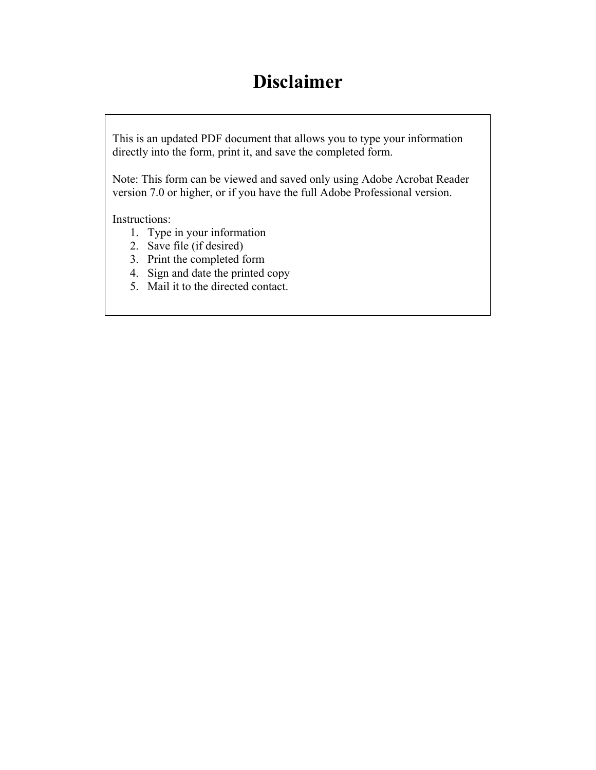# **Disclaimer**

This is an updated PDF document that allows you to type your information directly into the form, print it, and save the completed form.

Note: This form can be viewed and saved only using Adobe Acrobat Reader version 7.0 or higher, or if you have the full Adobe Professional version.

Instructions:

- 1. Type in your information
- 2. Save file (if desired)
- 3. Print the completed form
- 4. Sign and date the printed copy
- 5. Mail it to the directed contact.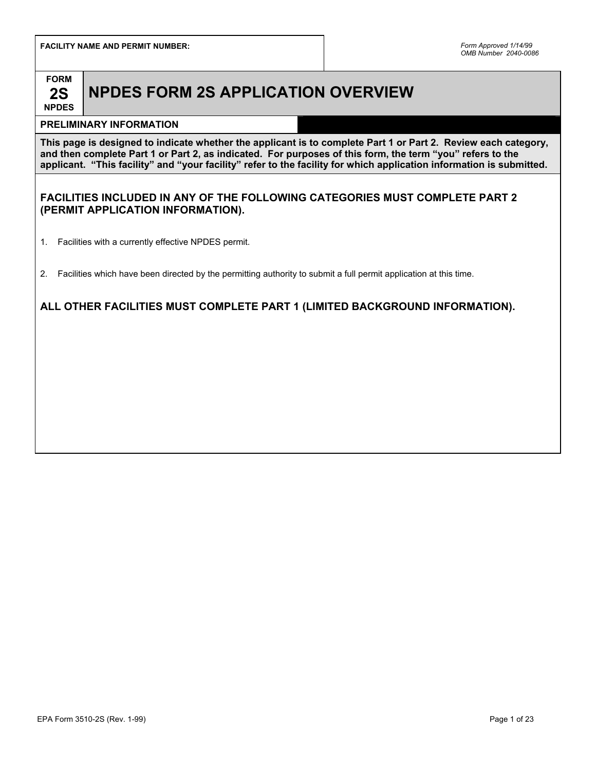**FACILITY NAME AND PERMIT NUMBER:** *Form Approved 1/14/99* 



# **NPDES FORM 2S APPLICATION OVERVIEW**

# **NPDES**

# **PRELIMINARY INFORMATION**

**This page is designed to indicate whether the applicant is to complete Part 1 or Part 2. Review each category, and then complete Part 1 or Part 2, as indicated. For purposes of this form, the term "you" refers to the applicant. "This facility" and "your facility" refer to the facility for which application information is submitted.**

## **FACILITIES INCLUDED IN ANY OF THE FOLLOWING CATEGORIES MUST COMPLETE PART 2 (PERMIT APPLICATION INFORMATION).**

- 1. Facilities with a currently effective NPDES permit.
- 2. Facilities which have been directed by the permitting authority to submit a full permit application at this time.

# **ALL OTHER FACILITIES MUST COMPLETE PART 1 (LIMITED BACKGROUND INFORMATION).**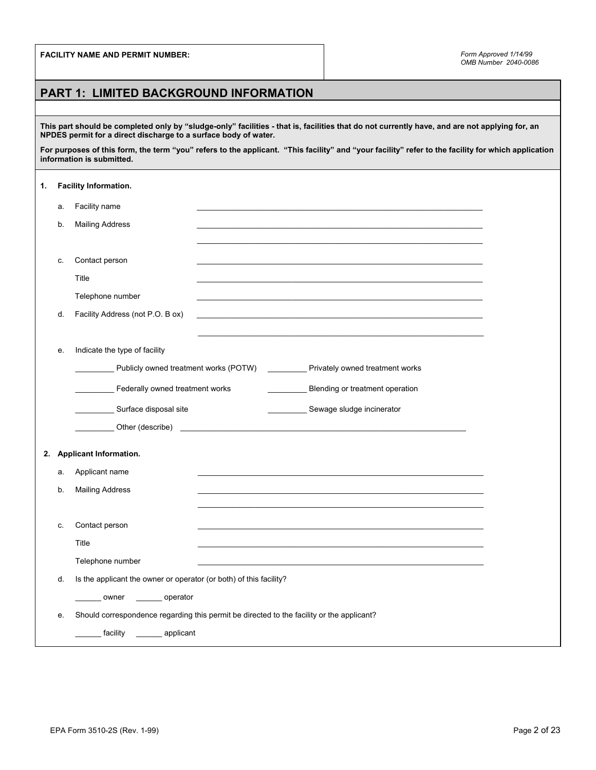# **PART 1: LIMITED BACKGROUND INFORMATION**

**This part should be completed only by "sludge-only" facilities - that is, facilities that do not currently have, and are not applying for, an NPDES permit for a direct discharge to a surface body of water.** 

**For purposes of this form, the term "you" refers to the applicant. "This facility" and "your facility" refer to the facility for which application information is submitted.** 

| 1. |    | Facility Information.                                                                     |  |                                                                                    |  |
|----|----|-------------------------------------------------------------------------------------------|--|------------------------------------------------------------------------------------|--|
|    | а. | Facility name                                                                             |  |                                                                                    |  |
|    | b. | <b>Mailing Address</b>                                                                    |  |                                                                                    |  |
|    |    |                                                                                           |  |                                                                                    |  |
|    | c. | Contact person                                                                            |  |                                                                                    |  |
|    |    | Title                                                                                     |  |                                                                                    |  |
|    |    | Telephone number                                                                          |  |                                                                                    |  |
|    | d. | Facility Address (not P.O. B ox)                                                          |  |                                                                                    |  |
|    |    |                                                                                           |  |                                                                                    |  |
|    | е. | Indicate the type of facility                                                             |  |                                                                                    |  |
|    |    |                                                                                           |  | Publicly owned treatment works (POTW) ____________ Privately owned treatment works |  |
|    |    | Federally owned treatment works                                                           |  | Blending or treatment operation                                                    |  |
|    |    | Surface disposal site                                                                     |  | Sewage sludge incinerator                                                          |  |
|    |    |                                                                                           |  |                                                                                    |  |
| 2. |    | <b>Applicant Information.</b>                                                             |  |                                                                                    |  |
|    | а. | Applicant name                                                                            |  |                                                                                    |  |
|    | b. | <b>Mailing Address</b>                                                                    |  |                                                                                    |  |
|    |    |                                                                                           |  |                                                                                    |  |
|    | c. | Contact person                                                                            |  |                                                                                    |  |
|    |    | Title                                                                                     |  |                                                                                    |  |
|    |    | Telephone number                                                                          |  |                                                                                    |  |
|    | d. | Is the applicant the owner or operator (or both) of this facility?                        |  |                                                                                    |  |
|    |    | owner _______ operator                                                                    |  |                                                                                    |  |
|    | е. | Should correspondence regarding this permit be directed to the facility or the applicant? |  |                                                                                    |  |
|    |    | facility ________ applicant                                                               |  |                                                                                    |  |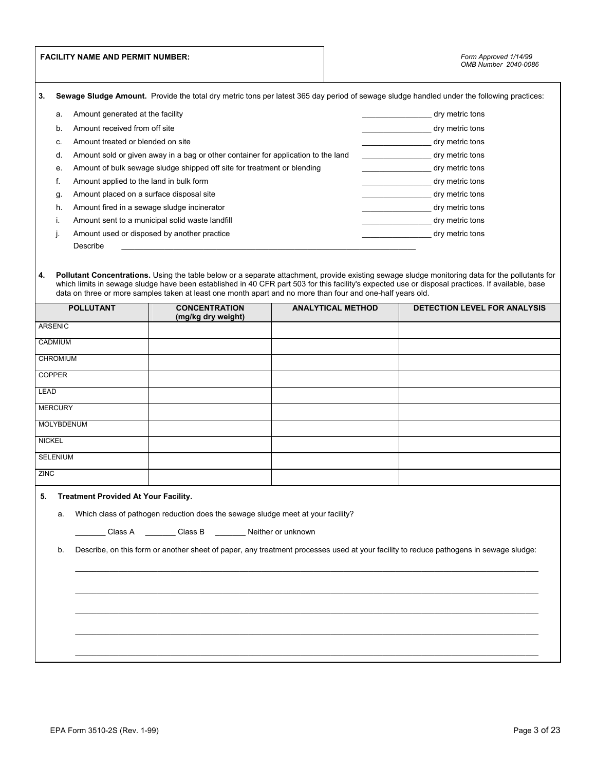|               |                                                                                                                                             | <b>FACILITY NAME AND PERMIT NUMBER:</b>     |                                                                                                            |  |                          | Form Approved 1/14/99<br>OMB Number 2040-0086                                                                                                                                                                                                                                                        |
|---------------|---------------------------------------------------------------------------------------------------------------------------------------------|---------------------------------------------|------------------------------------------------------------------------------------------------------------|--|--------------------------|------------------------------------------------------------------------------------------------------------------------------------------------------------------------------------------------------------------------------------------------------------------------------------------------------|
| 3.            |                                                                                                                                             |                                             |                                                                                                            |  |                          | Sewage Sludge Amount. Provide the total dry metric tons per latest 365 day period of sewage sludge handled under the following practices:                                                                                                                                                            |
|               | а.                                                                                                                                          | Amount generated at the facility            |                                                                                                            |  |                          | dry metric tons                                                                                                                                                                                                                                                                                      |
|               | b.                                                                                                                                          | Amount received from off site               |                                                                                                            |  |                          | dry metric tons                                                                                                                                                                                                                                                                                      |
|               | C.                                                                                                                                          | Amount treated or blended on site           |                                                                                                            |  |                          | dry metric tons                                                                                                                                                                                                                                                                                      |
|               | d.                                                                                                                                          |                                             | Amount sold or given away in a bag or other container for application to the land                          |  |                          | dry metric tons                                                                                                                                                                                                                                                                                      |
|               | е.                                                                                                                                          |                                             | Amount of bulk sewage sludge shipped off site for treatment or blending                                    |  |                          | dry metric tons                                                                                                                                                                                                                                                                                      |
|               | f.                                                                                                                                          | Amount applied to the land in bulk form     |                                                                                                            |  |                          | dry metric tons                                                                                                                                                                                                                                                                                      |
|               | g.                                                                                                                                          | Amount placed on a surface disposal site    |                                                                                                            |  |                          | dry metric tons                                                                                                                                                                                                                                                                                      |
|               | h.                                                                                                                                          | Amount fired in a sewage sludge incinerator |                                                                                                            |  |                          | dry metric tons                                                                                                                                                                                                                                                                                      |
|               | i.                                                                                                                                          |                                             | Amount sent to a municipal solid waste landfill                                                            |  |                          | dry metric tons                                                                                                                                                                                                                                                                                      |
|               | j.                                                                                                                                          |                                             | Amount used or disposed by another practice                                                                |  |                          | dry metric tons                                                                                                                                                                                                                                                                                      |
|               |                                                                                                                                             | Describe                                    |                                                                                                            |  |                          |                                                                                                                                                                                                                                                                                                      |
| 4.            |                                                                                                                                             |                                             | data on three or more samples taken at least one month apart and no more than four and one-half years old. |  |                          | Pollutant Concentrations. Using the table below or a separate attachment, provide existing sewage sludge monitoring data for the pollutants for<br>which limits in sewage sludge have been established in 40 CFR part 503 for this facility's expected use or disposal practices. If available, base |
|               |                                                                                                                                             | <b>POLLUTANT</b>                            | <b>CONCENTRATION</b><br>(mg/kg dry weight)                                                                 |  | <b>ANALYTICAL METHOD</b> | <b>DETECTION LEVEL FOR ANALYSIS</b>                                                                                                                                                                                                                                                                  |
|               | <b>ARSENIC</b>                                                                                                                              |                                             |                                                                                                            |  |                          |                                                                                                                                                                                                                                                                                                      |
|               | CADMIUM                                                                                                                                     |                                             |                                                                                                            |  |                          |                                                                                                                                                                                                                                                                                                      |
|               | CHROMIUM                                                                                                                                    |                                             |                                                                                                            |  |                          |                                                                                                                                                                                                                                                                                                      |
|               | <b>COPPER</b>                                                                                                                               |                                             |                                                                                                            |  |                          |                                                                                                                                                                                                                                                                                                      |
| LEAD          |                                                                                                                                             |                                             |                                                                                                            |  |                          |                                                                                                                                                                                                                                                                                                      |
|               | <b>MERCURY</b>                                                                                                                              |                                             |                                                                                                            |  |                          |                                                                                                                                                                                                                                                                                                      |
|               | <b>MOLYBDENUM</b>                                                                                                                           |                                             |                                                                                                            |  |                          |                                                                                                                                                                                                                                                                                                      |
| <b>NICKEL</b> |                                                                                                                                             |                                             |                                                                                                            |  |                          |                                                                                                                                                                                                                                                                                                      |
|               | <b>SELENIUM</b>                                                                                                                             |                                             |                                                                                                            |  |                          |                                                                                                                                                                                                                                                                                                      |
| <b>ZINC</b>   |                                                                                                                                             |                                             |                                                                                                            |  |                          |                                                                                                                                                                                                                                                                                                      |
| 5.            |                                                                                                                                             | <b>Treatment Provided At Your Facility.</b> |                                                                                                            |  |                          |                                                                                                                                                                                                                                                                                                      |
|               | а.                                                                                                                                          |                                             | Which class of pathogen reduction does the sewage sludge meet at your facility?                            |  |                          |                                                                                                                                                                                                                                                                                                      |
|               |                                                                                                                                             |                                             | Class A __________Class B ___________ Neither or unknown                                                   |  |                          |                                                                                                                                                                                                                                                                                                      |
|               | Describe, on this form or another sheet of paper, any treatment processes used at your facility to reduce pathogens in sewage sludge:<br>b. |                                             |                                                                                                            |  |                          |                                                                                                                                                                                                                                                                                                      |
|               |                                                                                                                                             |                                             |                                                                                                            |  |                          |                                                                                                                                                                                                                                                                                                      |
|               |                                                                                                                                             |                                             |                                                                                                            |  |                          |                                                                                                                                                                                                                                                                                                      |
|               |                                                                                                                                             |                                             |                                                                                                            |  |                          |                                                                                                                                                                                                                                                                                                      |
|               |                                                                                                                                             |                                             |                                                                                                            |  |                          |                                                                                                                                                                                                                                                                                                      |
|               |                                                                                                                                             |                                             |                                                                                                            |  |                          |                                                                                                                                                                                                                                                                                                      |
|               |                                                                                                                                             |                                             |                                                                                                            |  |                          |                                                                                                                                                                                                                                                                                                      |
|               |                                                                                                                                             |                                             |                                                                                                            |  |                          |                                                                                                                                                                                                                                                                                                      |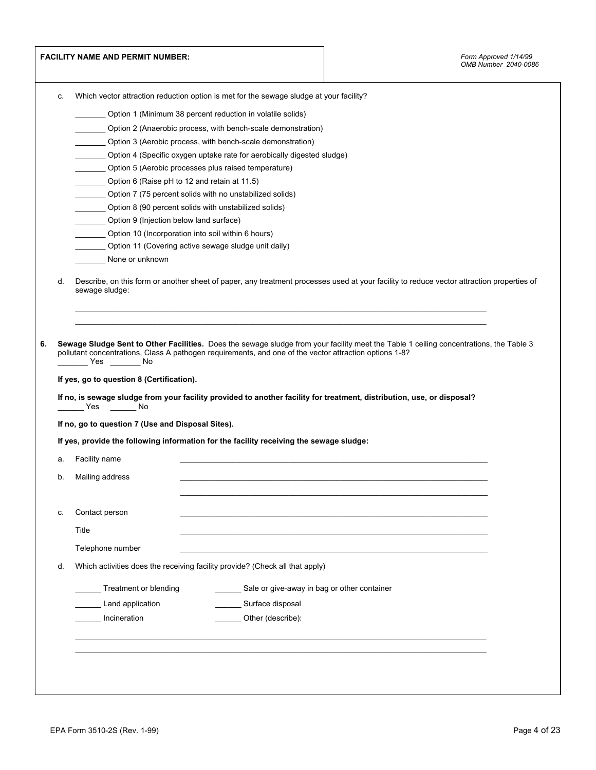|    | <b>FACILITY NAME AND PERMIT NUMBER:</b>                                                                                                                                                                                                                                                                                                                                                                                 |                                                                        |  | Form Approved 1/14/99<br>OMB Number 2040-0086 |
|----|-------------------------------------------------------------------------------------------------------------------------------------------------------------------------------------------------------------------------------------------------------------------------------------------------------------------------------------------------------------------------------------------------------------------------|------------------------------------------------------------------------|--|-----------------------------------------------|
| c. | Which vector attraction reduction option is met for the sewage sludge at your facility?                                                                                                                                                                                                                                                                                                                                 |                                                                        |  |                                               |
|    |                                                                                                                                                                                                                                                                                                                                                                                                                         | Option 1 (Minimum 38 percent reduction in volatile solids)             |  |                                               |
|    |                                                                                                                                                                                                                                                                                                                                                                                                                         | Option 2 (Anaerobic process, with bench-scale demonstration)           |  |                                               |
|    |                                                                                                                                                                                                                                                                                                                                                                                                                         | Option 3 (Aerobic process, with bench-scale demonstration)             |  |                                               |
|    |                                                                                                                                                                                                                                                                                                                                                                                                                         | Option 4 (Specific oxygen uptake rate for aerobically digested sludge) |  |                                               |
|    | Option 5 (Aerobic processes plus raised temperature)                                                                                                                                                                                                                                                                                                                                                                    |                                                                        |  |                                               |
|    | Option 6 (Raise pH to 12 and retain at 11.5)                                                                                                                                                                                                                                                                                                                                                                            |                                                                        |  |                                               |
|    | Option 7 (75 percent solids with no unstabilized solids)                                                                                                                                                                                                                                                                                                                                                                |                                                                        |  |                                               |
|    | Option 8 (90 percent solids with unstabilized solids)                                                                                                                                                                                                                                                                                                                                                                   |                                                                        |  |                                               |
|    | Option 9 (Injection below land surface)                                                                                                                                                                                                                                                                                                                                                                                 |                                                                        |  |                                               |
|    | Option 10 (Incorporation into soil within 6 hours)                                                                                                                                                                                                                                                                                                                                                                      |                                                                        |  |                                               |
|    | Option 11 (Covering active sewage sludge unit daily)                                                                                                                                                                                                                                                                                                                                                                    |                                                                        |  |                                               |
|    | None or unknown                                                                                                                                                                                                                                                                                                                                                                                                         |                                                                        |  |                                               |
| d. | Describe, on this form or another sheet of paper, any treatment processes used at your facility to reduce vector attraction properties of<br>sewage sludge:                                                                                                                                                                                                                                                             |                                                                        |  |                                               |
|    | Sewage Sludge Sent to Other Facilities. Does the sewage sludge from your facility meet the Table 1 ceiling concentrations, the Table 3<br>pollutant concentrations, Class A pathogen requirements, and one of the vector attraction options 1-8?<br>If yes, go to question 8 (Certification).<br>If no, is sewage sludge from your facility provided to another facility for treatment, distribution, use, or disposal? |                                                                        |  |                                               |
|    | If no, go to question 7 (Use and Disposal Sites).                                                                                                                                                                                                                                                                                                                                                                       |                                                                        |  |                                               |
| а. | If yes, provide the following information for the facility receiving the sewage sludge:                                                                                                                                                                                                                                                                                                                                 |                                                                        |  |                                               |
| b. | Facility name<br>Mailing address                                                                                                                                                                                                                                                                                                                                                                                        |                                                                        |  |                                               |
| c. | Contact person                                                                                                                                                                                                                                                                                                                                                                                                          |                                                                        |  |                                               |
|    | Title                                                                                                                                                                                                                                                                                                                                                                                                                   |                                                                        |  |                                               |
|    | Telephone number                                                                                                                                                                                                                                                                                                                                                                                                        |                                                                        |  |                                               |
| d. | Which activities does the receiving facility provide? (Check all that apply)                                                                                                                                                                                                                                                                                                                                            |                                                                        |  |                                               |
|    | Treatment or blending                                                                                                                                                                                                                                                                                                                                                                                                   | Sale or give-away in bag or other container                            |  |                                               |
|    | Land application                                                                                                                                                                                                                                                                                                                                                                                                        | Surface disposal                                                       |  |                                               |
|    |                                                                                                                                                                                                                                                                                                                                                                                                                         |                                                                        |  |                                               |
|    | Incineration                                                                                                                                                                                                                                                                                                                                                                                                            | Other (describe):                                                      |  |                                               |
|    |                                                                                                                                                                                                                                                                                                                                                                                                                         |                                                                        |  |                                               |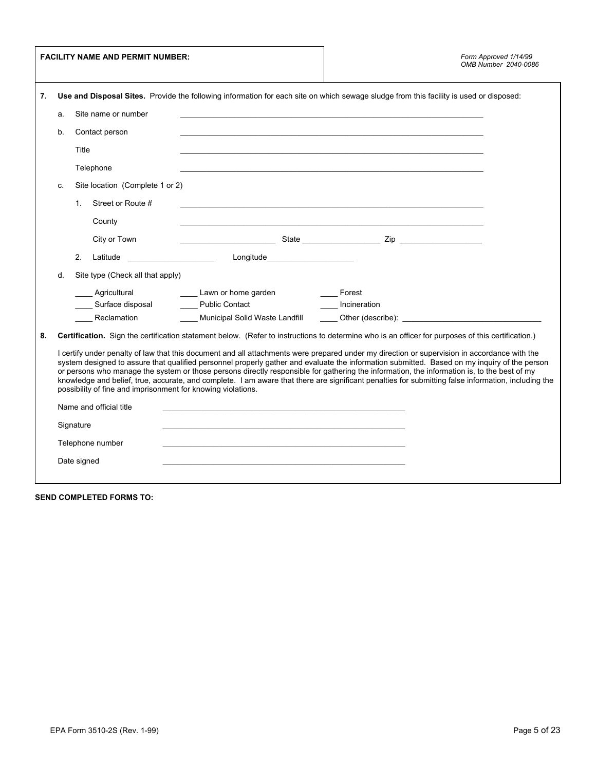|    |    | <b>FACILITY NAME AND PERMIT NUMBER:</b>                                                 |                                                                                                                                                                                                                                                                                             |                         | Form Approved 1/14/99<br>OMB Number 2040-0086                                                                                                                                                                                                                                                       |
|----|----|-----------------------------------------------------------------------------------------|---------------------------------------------------------------------------------------------------------------------------------------------------------------------------------------------------------------------------------------------------------------------------------------------|-------------------------|-----------------------------------------------------------------------------------------------------------------------------------------------------------------------------------------------------------------------------------------------------------------------------------------------------|
| 7. |    |                                                                                         | Use and Disposal Sites. Provide the following information for each site on which sewage sludge from this facility is used or disposed:                                                                                                                                                      |                         |                                                                                                                                                                                                                                                                                                     |
|    | a. | Site name or number                                                                     |                                                                                                                                                                                                                                                                                             |                         |                                                                                                                                                                                                                                                                                                     |
|    | b. | Contact person                                                                          |                                                                                                                                                                                                                                                                                             |                         |                                                                                                                                                                                                                                                                                                     |
|    |    | Title                                                                                   |                                                                                                                                                                                                                                                                                             |                         |                                                                                                                                                                                                                                                                                                     |
|    |    | Telephone                                                                               |                                                                                                                                                                                                                                                                                             |                         |                                                                                                                                                                                                                                                                                                     |
|    | C. | Site location (Complete 1 or 2)                                                         |                                                                                                                                                                                                                                                                                             |                         |                                                                                                                                                                                                                                                                                                     |
|    |    | Street or Route #<br>$1_{-}$                                                            | <u> 1989 - Johann Stoff, deutscher Stoff, der Stoff, der Stoff, der Stoff, der Stoff, der Stoff, der Stoff, der S</u>                                                                                                                                                                       |                         |                                                                                                                                                                                                                                                                                                     |
|    |    | County                                                                                  |                                                                                                                                                                                                                                                                                             |                         |                                                                                                                                                                                                                                                                                                     |
|    |    | City or Town                                                                            |                                                                                                                                                                                                                                                                                             |                         |                                                                                                                                                                                                                                                                                                     |
|    |    | 2.                                                                                      |                                                                                                                                                                                                                                                                                             |                         |                                                                                                                                                                                                                                                                                                     |
|    | d. | Site type (Check all that apply)                                                        |                                                                                                                                                                                                                                                                                             |                         |                                                                                                                                                                                                                                                                                                     |
|    |    |                                                                                         | Agricultural <b>Configure 1</b> Lawn or home garden                                                                                                                                                                                                                                         | <b>Example 2</b> Forest |                                                                                                                                                                                                                                                                                                     |
|    |    |                                                                                         | Surface disposal Contact Contact Contact Contact Contact Contact Contact Contact Contact Contact Contact Conta                                                                                                                                                                              |                         |                                                                                                                                                                                                                                                                                                     |
|    |    |                                                                                         | Reclamation __________ Municipal Solid Waste Landfill _______ Other (describe): ______________________________                                                                                                                                                                              |                         |                                                                                                                                                                                                                                                                                                     |
| 8. |    |                                                                                         | Certification. Sign the certification statement below. (Refer to instructions to determine who is an officer for purposes of this certification.)                                                                                                                                           |                         |                                                                                                                                                                                                                                                                                                     |
|    |    | possibility of fine and imprisonment for knowing violations.<br>Name and official title | I certify under penalty of law that this document and all attachments were prepared under my direction or supervision in accordance with the<br>or persons who manage the system or those persons directly responsible for gathering the information, the information is, to the best of my |                         | system designed to assure that qualified personnel properly gather and evaluate the information submitted. Based on my inquiry of the person<br>knowledge and belief, true, accurate, and complete. I am aware that there are significant penalties for submitting false information, including the |
|    |    | Signature                                                                               |                                                                                                                                                                                                                                                                                             |                         |                                                                                                                                                                                                                                                                                                     |
|    |    | Telephone number                                                                        |                                                                                                                                                                                                                                                                                             |                         |                                                                                                                                                                                                                                                                                                     |
|    |    |                                                                                         |                                                                                                                                                                                                                                                                                             |                         |                                                                                                                                                                                                                                                                                                     |
|    |    | Date signed                                                                             |                                                                                                                                                                                                                                                                                             |                         |                                                                                                                                                                                                                                                                                                     |
|    |    |                                                                                         |                                                                                                                                                                                                                                                                                             |                         |                                                                                                                                                                                                                                                                                                     |

**SEND COMPLETED FORMS TO:**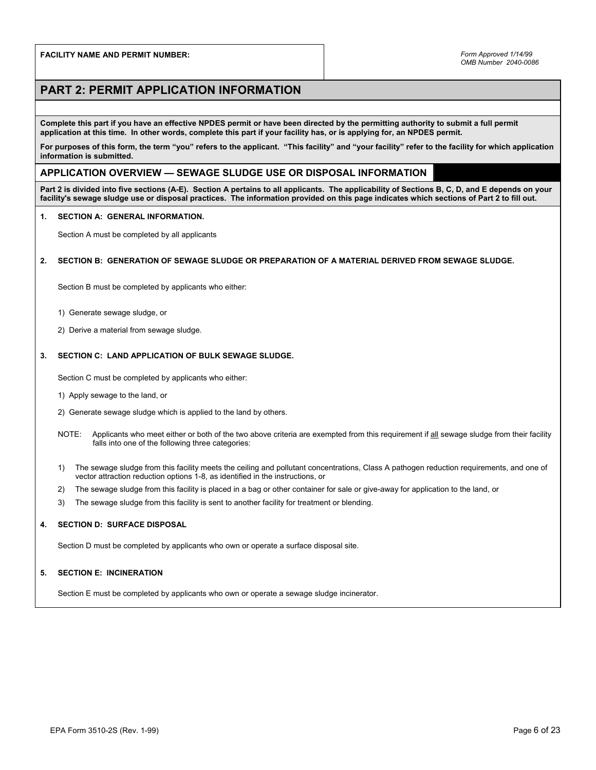# **PART 2: PERMIT APPLICATION INFORMATION**

**Complete this part if you have an effective NPDES permit or have been directed by the permitting authority to submit a full permit application at this time. In other words, complete this part if your facility has, or is applying for, an NPDES permit.** 

**For purposes of this form, the term "you" refers to the applicant. "This facility" and "your facility" refer to the facility for which application information is submitted.** 

## **APPLICATION OVERVIEW — SEWAGE SLUDGE USE OR DISPOSAL INFORMATION**

**Part 2 is divided into five sections (A-E). Section A pertains to all applicants. The applicability of Sections B, C, D, and E depends on your facility's sewage sludge use or disposal practices. The information provided on this page indicates which sections of Part 2 to fill out.** 

#### **1. SECTION A: GENERAL INFORMATION.**

Section A must be completed by all applicants

### **2. SECTION B: GENERATION OF SEWAGE SLUDGE OR PREPARATION OF A MATERIAL DERIVED FROM SEWAGE SLUDGE.**

Section B must be completed by applicants who either:

- 1) Generate sewage sludge, or
- 2) Derive a material from sewage sludge.

#### **3. SECTION C: LAND APPLICATION OF BULK SEWAGE SLUDGE.**

Section C must be completed by applicants who either:

- 1) Apply sewage to the land, or
- 2) Generate sewage sludge which is applied to the land by others.
- NOTE: Applicants who meet either or both of the two above criteria are exempted from this requirement if all sewage sludge from their facility falls into one of the following three categories:
- 1) The sewage sludge from this facility meets the ceiling and pollutant concentrations, Class A pathogen reduction requirements, and one of vector attraction reduction options 1-8, as identified in the instructions, or
- 2) The sewage sludge from this facility is placed in a bag or other container for sale or give-away for application to the land, or
- 3) The sewage sludge from this facility is sent to another facility for treatment or blending.

#### **4. SECTION D: SURFACE DISPOSAL**

Section D must be completed by applicants who own or operate a surface disposal site.

#### **5. SECTION E: INCINERATION**

Section E must be completed by applicants who own or operate a sewage sludge incinerator.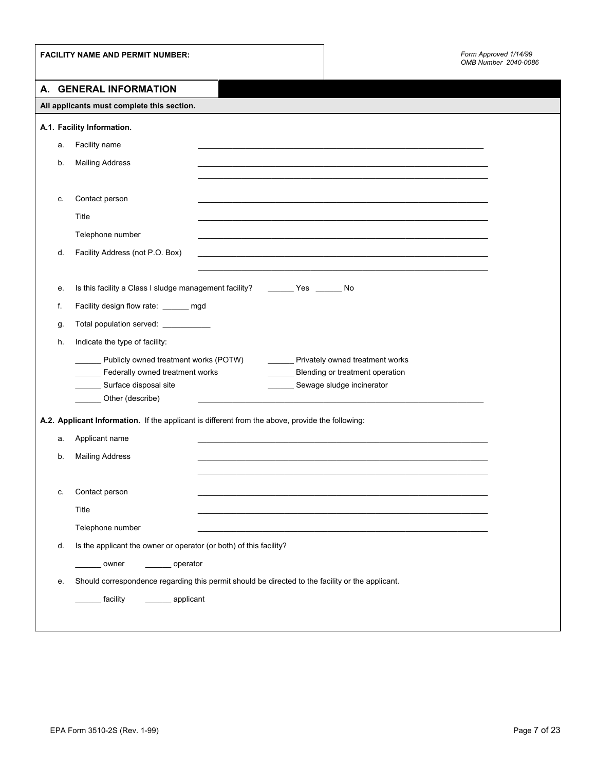|    | <b>FACILITY NAME AND PERMIT NUMBER:</b>                                                          | Form Approved 1/14/99<br>OMB Number 2040-0086 |
|----|--------------------------------------------------------------------------------------------------|-----------------------------------------------|
|    | A. GENERAL INFORMATION                                                                           |                                               |
|    | All applicants must complete this section.                                                       |                                               |
|    | A.1. Facility Information.                                                                       |                                               |
| а. | Facility name                                                                                    |                                               |
| b. | <b>Mailing Address</b>                                                                           |                                               |
|    |                                                                                                  |                                               |
| c. | Contact person                                                                                   |                                               |
|    | Title                                                                                            |                                               |
|    | Telephone number                                                                                 |                                               |
| d. | Facility Address (not P.O. Box)                                                                  |                                               |
|    |                                                                                                  |                                               |
| е. | Is this facility a Class I sludge management facility? __________ Yes ________ No                |                                               |
| f. | Facility design flow rate: _____ mgd                                                             |                                               |
| g. | Total population served: ___________                                                             |                                               |
| h. | Indicate the type of facility:                                                                   |                                               |
|    | Publicly owned treatment works (POTW)<br>________ Privately owned treatment works                |                                               |
|    | Federally owned treatment works<br>Blending or treatment operation                               |                                               |
|    | Surface disposal site<br>Sewage sludge incinerator<br>Other (describe)                           |                                               |
|    |                                                                                                  |                                               |
|    | A.2. Applicant Information. If the applicant is different from the above, provide the following: |                                               |
| а. | Applicant name                                                                                   |                                               |
| b. | <b>Mailing Address</b>                                                                           |                                               |
|    |                                                                                                  |                                               |
| c. | Contact person                                                                                   |                                               |
|    | Title                                                                                            |                                               |
|    | Telephone number                                                                                 |                                               |
| d. | Is the applicant the owner or operator (or both) of this facility?                               |                                               |
|    | _________ operator<br>_______ owner                                                              |                                               |
| е. | Should correspondence regarding this permit should be directed to the facility or the applicant. |                                               |
|    | ________ facility<br>_________ applicant                                                         |                                               |
|    |                                                                                                  |                                               |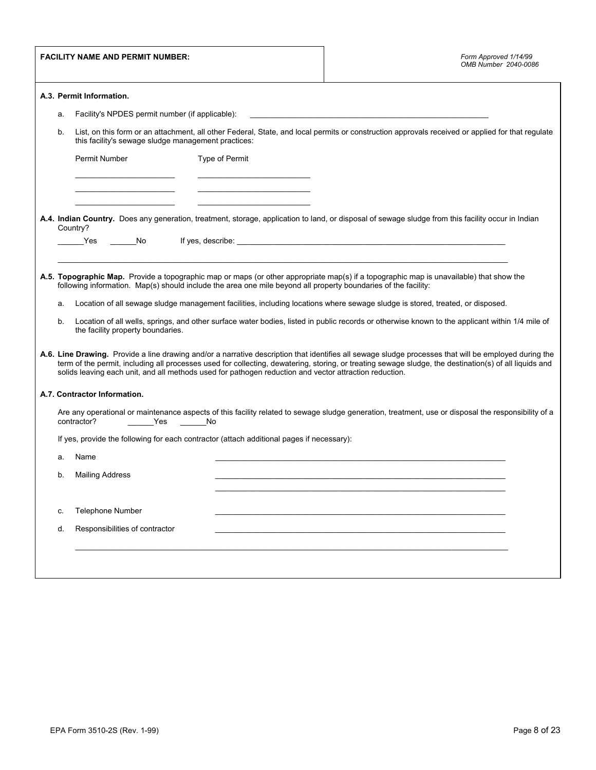|          | <b>FACILITY NAME AND PERMIT NUMBER:</b>                                                                                                                                                                                                                       |                | Form Approved 1/14/99<br>OMB Number 2040-0086                                                                                                                                                                                                                                                                                                                                                                                                                                                                                                                                                                                                                                                                                                  |
|----------|---------------------------------------------------------------------------------------------------------------------------------------------------------------------------------------------------------------------------------------------------------------|----------------|------------------------------------------------------------------------------------------------------------------------------------------------------------------------------------------------------------------------------------------------------------------------------------------------------------------------------------------------------------------------------------------------------------------------------------------------------------------------------------------------------------------------------------------------------------------------------------------------------------------------------------------------------------------------------------------------------------------------------------------------|
|          | A.3. Permit Information.                                                                                                                                                                                                                                      |                |                                                                                                                                                                                                                                                                                                                                                                                                                                                                                                                                                                                                                                                                                                                                                |
| a.       | Facility's NPDES permit number (if applicable):                                                                                                                                                                                                               |                |                                                                                                                                                                                                                                                                                                                                                                                                                                                                                                                                                                                                                                                                                                                                                |
| b.       | this facility's sewage sludge management practices:                                                                                                                                                                                                           |                | List, on this form or an attachment, all other Federal, State, and local permits or construction approvals received or applied for that regulate                                                                                                                                                                                                                                                                                                                                                                                                                                                                                                                                                                                               |
|          | Permit Number                                                                                                                                                                                                                                                 | Type of Permit |                                                                                                                                                                                                                                                                                                                                                                                                                                                                                                                                                                                                                                                                                                                                                |
|          |                                                                                                                                                                                                                                                               |                |                                                                                                                                                                                                                                                                                                                                                                                                                                                                                                                                                                                                                                                                                                                                                |
|          | Country?                                                                                                                                                                                                                                                      |                | A.4. Indian Country. Does any generation, treatment, storage, application to land, or disposal of sewage sludge from this facility occur in Indian                                                                                                                                                                                                                                                                                                                                                                                                                                                                                                                                                                                             |
|          | _______Yes ________No                                                                                                                                                                                                                                         |                | If yes, describe: the contract of the contract of the contract of the contract of the contract of the contract of the contract of the contract of the contract of the contract of the contract of the contract of the contract                                                                                                                                                                                                                                                                                                                                                                                                                                                                                                                 |
| a.<br>b. | following information. Map(s) should include the area one mile beyond all property boundaries of the facility:<br>the facility property boundaries.<br>solids leaving each unit, and all methods used for pathogen reduction and vector attraction reduction. |                | A.5. Topographic Map. Provide a topographic map or maps (or other appropriate map(s) if a topographic map is unavailable) that show the<br>Location of all sewage sludge management facilities, including locations where sewage sludge is stored, treated, or disposed.<br>Location of all wells, springs, and other surface water bodies, listed in public records or otherwise known to the applicant within 1/4 mile of<br>A.6. Line Drawing. Provide a line drawing and/or a narrative description that identifies all sewage sludge processes that will be employed during the<br>term of the permit, including all processes used for collecting, dewatering, storing, or treating sewage sludge, the destination(s) of all liquids and |
|          | A.7. Contractor Information.                                                                                                                                                                                                                                  |                |                                                                                                                                                                                                                                                                                                                                                                                                                                                                                                                                                                                                                                                                                                                                                |
|          | contractor?<br>__________Yes _________No                                                                                                                                                                                                                      |                | Are any operational or maintenance aspects of this facility related to sewage sludge generation, treatment, use or disposal the responsibility of a                                                                                                                                                                                                                                                                                                                                                                                                                                                                                                                                                                                            |
|          | If yes, provide the following for each contractor (attach additional pages if necessary):                                                                                                                                                                     |                |                                                                                                                                                                                                                                                                                                                                                                                                                                                                                                                                                                                                                                                                                                                                                |
| a.       | Name                                                                                                                                                                                                                                                          |                |                                                                                                                                                                                                                                                                                                                                                                                                                                                                                                                                                                                                                                                                                                                                                |
| b.       | <b>Mailing Address</b>                                                                                                                                                                                                                                        |                |                                                                                                                                                                                                                                                                                                                                                                                                                                                                                                                                                                                                                                                                                                                                                |
| c.       | <b>Telephone Number</b>                                                                                                                                                                                                                                       |                |                                                                                                                                                                                                                                                                                                                                                                                                                                                                                                                                                                                                                                                                                                                                                |
| d.       | Responsibilities of contractor                                                                                                                                                                                                                                |                |                                                                                                                                                                                                                                                                                                                                                                                                                                                                                                                                                                                                                                                                                                                                                |
|          |                                                                                                                                                                                                                                                               |                |                                                                                                                                                                                                                                                                                                                                                                                                                                                                                                                                                                                                                                                                                                                                                |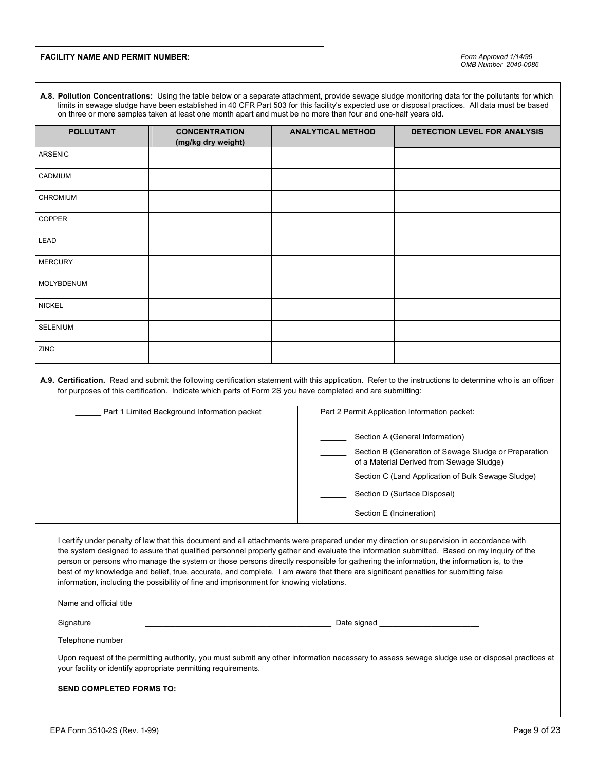## **FACILITY NAME AND PERMIT NUMBER:**

| A.8. Pollution Concentrations: Using the table below or a separate attachment, provide sewage sludge monitoring data for the pollutants for which |
|---------------------------------------------------------------------------------------------------------------------------------------------------|
| limits in sewage sludge have been established in 40 CFR Part 503 for this facility's expected use or disposal practices. All data must be based   |
| on three or more samples taken at least one month apart and must be no more than four and one-half years old.                                     |
|                                                                                                                                                   |

| <b>POLLUTANT</b>                | <b>CONCENTRATION</b><br>(mg/kg dry weight)                                              | <b>ANALYTICAL METHOD</b>                                                                                                                                                                                                             | <b>DETECTION LEVEL FOR ANALYSIS</b>                                                                                                                                                                                                                                                                                                                                                                                                                                   |
|---------------------------------|-----------------------------------------------------------------------------------------|--------------------------------------------------------------------------------------------------------------------------------------------------------------------------------------------------------------------------------------|-----------------------------------------------------------------------------------------------------------------------------------------------------------------------------------------------------------------------------------------------------------------------------------------------------------------------------------------------------------------------------------------------------------------------------------------------------------------------|
| ARSENIC                         |                                                                                         |                                                                                                                                                                                                                                      |                                                                                                                                                                                                                                                                                                                                                                                                                                                                       |
| CADMIUM                         |                                                                                         |                                                                                                                                                                                                                                      |                                                                                                                                                                                                                                                                                                                                                                                                                                                                       |
| <b>CHROMIUM</b>                 |                                                                                         |                                                                                                                                                                                                                                      |                                                                                                                                                                                                                                                                                                                                                                                                                                                                       |
| COPPER                          |                                                                                         |                                                                                                                                                                                                                                      |                                                                                                                                                                                                                                                                                                                                                                                                                                                                       |
| LEAD                            |                                                                                         |                                                                                                                                                                                                                                      |                                                                                                                                                                                                                                                                                                                                                                                                                                                                       |
| <b>MERCURY</b>                  |                                                                                         |                                                                                                                                                                                                                                      |                                                                                                                                                                                                                                                                                                                                                                                                                                                                       |
| MOLYBDENUM                      |                                                                                         |                                                                                                                                                                                                                                      |                                                                                                                                                                                                                                                                                                                                                                                                                                                                       |
| <b>NICKEL</b>                   |                                                                                         |                                                                                                                                                                                                                                      |                                                                                                                                                                                                                                                                                                                                                                                                                                                                       |
| <b>SELENIUM</b>                 |                                                                                         |                                                                                                                                                                                                                                      |                                                                                                                                                                                                                                                                                                                                                                                                                                                                       |
| ZINC                            |                                                                                         |                                                                                                                                                                                                                                      |                                                                                                                                                                                                                                                                                                                                                                                                                                                                       |
|                                 | Part 1 Limited Background Information packet                                            | for purposes of this certification. Indicate which parts of Form 2S you have completed and are submitting:                                                                                                                           | A.9. Certification. Read and submit the following certification statement with this application. Refer to the instructions to determine who is an officer<br>Part 2 Permit Application Information packet:<br>Section A (General Information)<br>Section B (Generation of Sewage Sludge or Preparation<br>of a Material Derived from Sewage Sludge)<br>Section C (Land Application of Bulk Sewage Sludge)<br>Section D (Surface Disposal)<br>Section E (Incineration) |
|                                 | information, including the possibility of fine and imprisonment for knowing violations. | best of my knowledge and belief, true, accurate, and complete. I am aware that there are significant penalties for submitting false                                                                                                  | I certify under penalty of law that this document and all attachments were prepared under my direction or supervision in accordance with<br>the system designed to assure that qualified personnel properly gather and evaluate the information submitted. Based on my inquiry of the<br>person or persons who manage the system or those persons directly responsible for gathering the information, the information is, to the                                      |
| Name and official title         |                                                                                         | <u> 1989 - Johann Stoff, amerikansk politiker (d. 1989)</u>                                                                                                                                                                          |                                                                                                                                                                                                                                                                                                                                                                                                                                                                       |
| Signature                       |                                                                                         | <u>Date signed and the control of the control of the control of the control of the control of the control of the control of the control of the control of the control of the control of the control of the control of the contro</u> |                                                                                                                                                                                                                                                                                                                                                                                                                                                                       |
| Telephone number                |                                                                                         |                                                                                                                                                                                                                                      |                                                                                                                                                                                                                                                                                                                                                                                                                                                                       |
|                                 | your facility or identify appropriate permitting requirements.                          |                                                                                                                                                                                                                                      | Upon request of the permitting authority, you must submit any other information necessary to assess sewage sludge use or disposal practices at                                                                                                                                                                                                                                                                                                                        |
| <b>SEND COMPLETED FORMS TO:</b> |                                                                                         |                                                                                                                                                                                                                                      |                                                                                                                                                                                                                                                                                                                                                                                                                                                                       |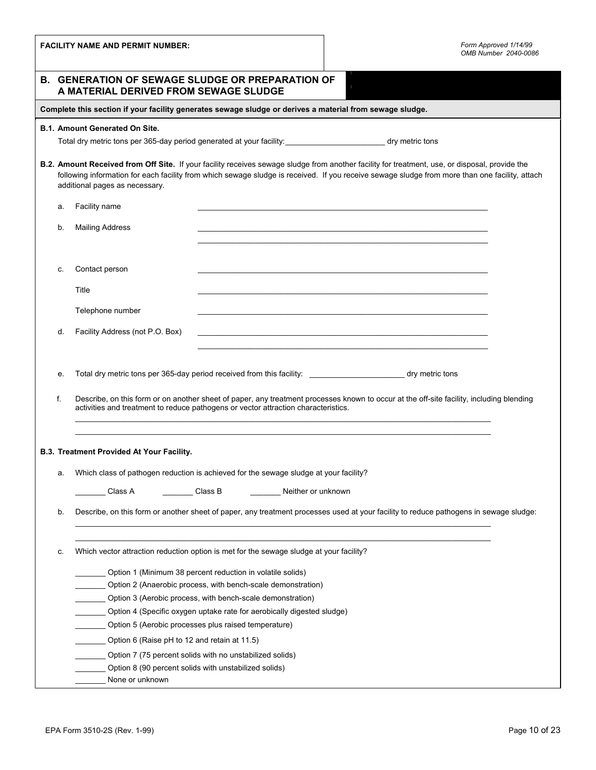| <b>FACILITY NAME AND PERMIT NUMBER:</b> |                                                                                                                                  |                                                                                                                                      | Form Approved 1/14/99<br>OMB Number 2040-0086                                                                                                                                                                                                                                                    |
|-----------------------------------------|----------------------------------------------------------------------------------------------------------------------------------|--------------------------------------------------------------------------------------------------------------------------------------|--------------------------------------------------------------------------------------------------------------------------------------------------------------------------------------------------------------------------------------------------------------------------------------------------|
|                                         | <b>B. GENERATION OF SEWAGE SLUDGE OR PREPARATION OF</b><br>A MATERIAL DERIVED FROM SEWAGE SLUDGE                                 |                                                                                                                                      |                                                                                                                                                                                                                                                                                                  |
|                                         | Complete this section if your facility generates sewage sludge or derives a material from sewage sludge.                         |                                                                                                                                      |                                                                                                                                                                                                                                                                                                  |
|                                         | <b>B.1. Amount Generated On Site.</b><br>Total dry metric tons per 365-day period generated at your facility:<br>dry metric tons |                                                                                                                                      |                                                                                                                                                                                                                                                                                                  |
|                                         | additional pages as necessary.                                                                                                   |                                                                                                                                      | B.2. Amount Received from Off Site. If your facility receives sewage sludge from another facility for treatment, use, or disposal, provide the<br>following information for each facility from which sewage sludge is received. If you receive sewage sludge from more than one facility, attach |
| а.                                      | Facility name                                                                                                                    |                                                                                                                                      |                                                                                                                                                                                                                                                                                                  |
| b.                                      | <b>Mailing Address</b>                                                                                                           |                                                                                                                                      |                                                                                                                                                                                                                                                                                                  |
| C.                                      | Contact person                                                                                                                   |                                                                                                                                      |                                                                                                                                                                                                                                                                                                  |
|                                         | Title                                                                                                                            |                                                                                                                                      |                                                                                                                                                                                                                                                                                                  |
|                                         | Telephone number                                                                                                                 |                                                                                                                                      |                                                                                                                                                                                                                                                                                                  |
| d.                                      | Facility Address (not P.O. Box)                                                                                                  |                                                                                                                                      | <u> 1989 - Johann Stoff, amerikansk politiker (d. 1989)</u>                                                                                                                                                                                                                                      |
|                                         |                                                                                                                                  |                                                                                                                                      |                                                                                                                                                                                                                                                                                                  |
| е.                                      |                                                                                                                                  |                                                                                                                                      | Total dry metric tons per 365-day period received from this facility: ______________________________ dry metric tons                                                                                                                                                                             |
| f.                                      |                                                                                                                                  | activities and treatment to reduce pathogens or vector attraction characteristics.                                                   | Describe, on this form or on another sheet of paper, any treatment processes known to occur at the off-site facility, including blending                                                                                                                                                         |
|                                         | B.3. Treatment Provided At Your Facility.                                                                                        |                                                                                                                                      |                                                                                                                                                                                                                                                                                                  |
| а.                                      |                                                                                                                                  | Which class of pathogen reduction is achieved for the sewage sludge at your facility?                                                |                                                                                                                                                                                                                                                                                                  |
|                                         | Class A                                                                                                                          | Class B<br>Neither or unknown                                                                                                        |                                                                                                                                                                                                                                                                                                  |
| b.                                      |                                                                                                                                  |                                                                                                                                      | Describe, on this form or another sheet of paper, any treatment processes used at your facility to reduce pathogens in sewage sludge:                                                                                                                                                            |
| c.                                      |                                                                                                                                  | Which vector attraction reduction option is met for the sewage sludge at your facility?                                              |                                                                                                                                                                                                                                                                                                  |
|                                         |                                                                                                                                  | Option 1 (Minimum 38 percent reduction in volatile solids)                                                                           |                                                                                                                                                                                                                                                                                                  |
|                                         |                                                                                                                                  | Option 2 (Anaerobic process, with bench-scale demonstration)                                                                         |                                                                                                                                                                                                                                                                                                  |
|                                         |                                                                                                                                  | Option 3 (Aerobic process, with bench-scale demonstration)<br>Option 4 (Specific oxygen uptake rate for aerobically digested sludge) |                                                                                                                                                                                                                                                                                                  |
|                                         |                                                                                                                                  | Option 5 (Aerobic processes plus raised temperature)                                                                                 |                                                                                                                                                                                                                                                                                                  |
|                                         | Option 6 (Raise pH to 12 and retain at 11.5)                                                                                     |                                                                                                                                      |                                                                                                                                                                                                                                                                                                  |
|                                         |                                                                                                                                  | Option 7 (75 percent solids with no unstabilized solids)                                                                             |                                                                                                                                                                                                                                                                                                  |
|                                         | Option 8 (90 percent solids with unstabilized solids)                                                                            |                                                                                                                                      |                                                                                                                                                                                                                                                                                                  |
|                                         | None or unknown                                                                                                                  |                                                                                                                                      |                                                                                                                                                                                                                                                                                                  |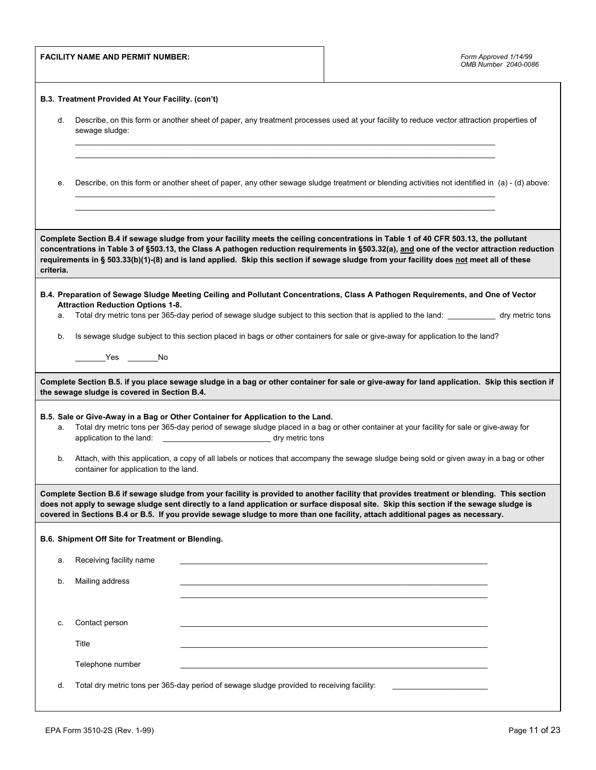|           | <b>FACILITY NAME AND PERMIT NUMBER:</b>                                                                                                                                                                                                                                                                                                                                                                                |                                                                                                                                                                | Form Approved 1/14/99<br>OMB Number 2040-0086                                                                                                                                                                                                                                                                                                                                                                                   |  |  |
|-----------|------------------------------------------------------------------------------------------------------------------------------------------------------------------------------------------------------------------------------------------------------------------------------------------------------------------------------------------------------------------------------------------------------------------------|----------------------------------------------------------------------------------------------------------------------------------------------------------------|---------------------------------------------------------------------------------------------------------------------------------------------------------------------------------------------------------------------------------------------------------------------------------------------------------------------------------------------------------------------------------------------------------------------------------|--|--|
|           | B.3. Treatment Provided At Your Facility. (con't)                                                                                                                                                                                                                                                                                                                                                                      |                                                                                                                                                                |                                                                                                                                                                                                                                                                                                                                                                                                                                 |  |  |
| d.        | Describe, on this form or another sheet of paper, any treatment processes used at your facility to reduce vector attraction properties of<br>sewage sludge:                                                                                                                                                                                                                                                            |                                                                                                                                                                |                                                                                                                                                                                                                                                                                                                                                                                                                                 |  |  |
|           |                                                                                                                                                                                                                                                                                                                                                                                                                        |                                                                                                                                                                |                                                                                                                                                                                                                                                                                                                                                                                                                                 |  |  |
| е.        |                                                                                                                                                                                                                                                                                                                                                                                                                        |                                                                                                                                                                | Describe, on this form or another sheet of paper, any other sewage sludge treatment or blending activities not identified in (a) - (d) above:                                                                                                                                                                                                                                                                                   |  |  |
|           |                                                                                                                                                                                                                                                                                                                                                                                                                        |                                                                                                                                                                |                                                                                                                                                                                                                                                                                                                                                                                                                                 |  |  |
| criteria. |                                                                                                                                                                                                                                                                                                                                                                                                                        |                                                                                                                                                                | Complete Section B.4 if sewage sludge from your facility meets the ceiling concentrations in Table 1 of 40 CFR 503.13, the pollutant<br>concentrations in Table 3 of §503.13, the Class A pathogen reduction requirements in §503.32(a), and one of the vector attraction reduction<br>requirements in § 503.33(b)(1)-(8) and is land applied. Skip this section if sewage sludge from your facility does not meet all of these |  |  |
|           |                                                                                                                                                                                                                                                                                                                                                                                                                        |                                                                                                                                                                | B.4. Preparation of Sewage Sludge Meeting Ceiling and Pollutant Concentrations, Class A Pathogen Requirements, and One of Vector                                                                                                                                                                                                                                                                                                |  |  |
| a.        | <b>Attraction Reduction Options 1-8.</b>                                                                                                                                                                                                                                                                                                                                                                               |                                                                                                                                                                | Total dry metric tons per 365-day period of sewage sludge subject to this section that is applied to the land: _____________ dry metric tons                                                                                                                                                                                                                                                                                    |  |  |
| b.        |                                                                                                                                                                                                                                                                                                                                                                                                                        |                                                                                                                                                                | Is sewage sludge subject to this section placed in bags or other containers for sale or give-away for application to the land?                                                                                                                                                                                                                                                                                                  |  |  |
|           |                                                                                                                                                                                                                                                                                                                                                                                                                        |                                                                                                                                                                |                                                                                                                                                                                                                                                                                                                                                                                                                                 |  |  |
|           | the sewage sludge is covered in Section B.4.                                                                                                                                                                                                                                                                                                                                                                           |                                                                                                                                                                | Complete Section B.5. if you place sewage sludge in a bag or other container for sale or give-away for land application. Skip this section if                                                                                                                                                                                                                                                                                   |  |  |
| a.        |                                                                                                                                                                                                                                                                                                                                                                                                                        | B.5. Sale or Give-Away in a Bag or Other Container for Application to the Land.<br>application to the land: __________________________________ dry metric tons | Total dry metric tons per 365-day period of sewage sludge placed in a bag or other container at your facility for sale or give-away for                                                                                                                                                                                                                                                                                         |  |  |
| b.        | container for application to the land.                                                                                                                                                                                                                                                                                                                                                                                 |                                                                                                                                                                | Attach, with this application, a copy of all labels or notices that accompany the sewage sludge being sold or given away in a bag or other                                                                                                                                                                                                                                                                                      |  |  |
|           | Complete Section B.6 if sewage sludge from your facility is provided to another facility that provides treatment or blending. This section<br>does not apply to sewage sludge sent directly to a land application or surface disposal site. Skip this section if the sewage sludge is<br>covered in Sections B.4 or B.5. If you provide sewage sludge to more than one facility, attach additional pages as necessary. |                                                                                                                                                                |                                                                                                                                                                                                                                                                                                                                                                                                                                 |  |  |
|           | B.6. Shipment Off Site for Treatment or Blending.                                                                                                                                                                                                                                                                                                                                                                      |                                                                                                                                                                |                                                                                                                                                                                                                                                                                                                                                                                                                                 |  |  |
| a.        | Receiving facility name                                                                                                                                                                                                                                                                                                                                                                                                |                                                                                                                                                                |                                                                                                                                                                                                                                                                                                                                                                                                                                 |  |  |
| b.        | Mailing address                                                                                                                                                                                                                                                                                                                                                                                                        |                                                                                                                                                                |                                                                                                                                                                                                                                                                                                                                                                                                                                 |  |  |
|           |                                                                                                                                                                                                                                                                                                                                                                                                                        |                                                                                                                                                                |                                                                                                                                                                                                                                                                                                                                                                                                                                 |  |  |
| c.        | Contact person                                                                                                                                                                                                                                                                                                                                                                                                         |                                                                                                                                                                |                                                                                                                                                                                                                                                                                                                                                                                                                                 |  |  |
|           | Title                                                                                                                                                                                                                                                                                                                                                                                                                  |                                                                                                                                                                |                                                                                                                                                                                                                                                                                                                                                                                                                                 |  |  |
|           | Telephone number                                                                                                                                                                                                                                                                                                                                                                                                       |                                                                                                                                                                |                                                                                                                                                                                                                                                                                                                                                                                                                                 |  |  |
| d.        |                                                                                                                                                                                                                                                                                                                                                                                                                        | Total dry metric tons per 365-day period of sewage sludge provided to receiving facility:                                                                      |                                                                                                                                                                                                                                                                                                                                                                                                                                 |  |  |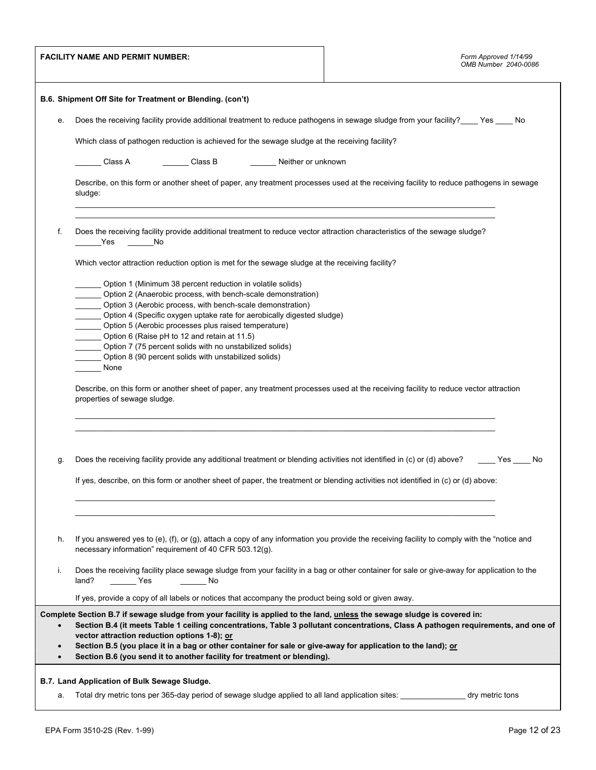|                        | <b>FACILITY NAME AND PERMIT NUMBER:</b>                                                                                                                                                                                                                                                                                                                                                                                                                                                                           | Form Approved 1/14/99<br>OMB Number 2040-0086 |
|------------------------|-------------------------------------------------------------------------------------------------------------------------------------------------------------------------------------------------------------------------------------------------------------------------------------------------------------------------------------------------------------------------------------------------------------------------------------------------------------------------------------------------------------------|-----------------------------------------------|
|                        | B.6. Shipment Off Site for Treatment or Blending. (con't)                                                                                                                                                                                                                                                                                                                                                                                                                                                         |                                               |
| е.                     | Does the receiving facility provide additional treatment to reduce pathogens in sewage sludge from your facility?____Yes ____ No                                                                                                                                                                                                                                                                                                                                                                                  |                                               |
|                        | Which class of pathogen reduction is achieved for the sewage sludge at the receiving facility?                                                                                                                                                                                                                                                                                                                                                                                                                    |                                               |
|                        | Class B<br>Neither or unknown<br>Class A                                                                                                                                                                                                                                                                                                                                                                                                                                                                          |                                               |
|                        | Describe, on this form or another sheet of paper, any treatment processes used at the receiving facility to reduce pathogens in sewage<br>sludge:                                                                                                                                                                                                                                                                                                                                                                 |                                               |
| f.                     | Does the receiving facility provide additional treatment to reduce vector attraction characteristics of the sewage sludge?<br>Yes<br>No                                                                                                                                                                                                                                                                                                                                                                           |                                               |
|                        | Which vector attraction reduction option is met for the sewage sludge at the receiving facility?                                                                                                                                                                                                                                                                                                                                                                                                                  |                                               |
|                        | Option 1 (Minimum 38 percent reduction in volatile solids)<br>Option 2 (Anaerobic process, with bench-scale demonstration)<br>Option 3 (Aerobic process, with bench-scale demonstration)<br>$\sim$<br>Option 4 (Specific oxygen uptake rate for aerobically digested sludge)<br>Option 5 (Aerobic processes plus raised temperature)<br>Option 6 (Raise pH to 12 and retain at 11.5)<br>Option 7 (75 percent solids with no unstabilized solids)<br>Option 8 (90 percent solids with unstabilized solids)<br>None |                                               |
|                        | Describe, on this form or another sheet of paper, any treatment processes used at the receiving facility to reduce vector attraction<br>properties of sewage sludge.                                                                                                                                                                                                                                                                                                                                              |                                               |
| g.                     | Does the receiving facility provide any additional treatment or blending activities not identified in (c) or (d) above? _____ Yes ____                                                                                                                                                                                                                                                                                                                                                                            | <b>No</b>                                     |
|                        | If yes, describe, on this form or another sheet of paper, the treatment or blending activities not identified in (c) or (d) above:                                                                                                                                                                                                                                                                                                                                                                                |                                               |
|                        |                                                                                                                                                                                                                                                                                                                                                                                                                                                                                                                   |                                               |
| h.                     | If you answered yes to (e), (f), or (g), attach a copy of any information you provide the receiving facility to comply with the "notice and<br>necessary information" requirement of 40 CFR 503.12(g).                                                                                                                                                                                                                                                                                                            |                                               |
| i.                     | Does the receiving facility place sewage sludge from your facility in a bag or other container for sale or give-away for application to the<br>$\rule{1em}{0.15mm}$ Yes<br>land?<br>________________ No                                                                                                                                                                                                                                                                                                           |                                               |
|                        | If yes, provide a copy of all labels or notices that accompany the product being sold or given away.                                                                                                                                                                                                                                                                                                                                                                                                              |                                               |
| $\bullet$              | Complete Section B.7 if sewage sludge from your facility is applied to the land, unless the sewage sludge is covered in:<br>Section B.4 (it meets Table 1 ceiling concentrations, Table 3 pollutant concentrations, Class A pathogen requirements, and one of<br>vector attraction reduction options 1-8); or                                                                                                                                                                                                     |                                               |
| $\bullet$<br>$\bullet$ | Section B.5 (you place it in a bag or other container for sale or give-away for application to the land); or<br>Section B.6 (you send it to another facility for treatment or blending).                                                                                                                                                                                                                                                                                                                          |                                               |
|                        | B.7. Land Application of Bulk Sewage Sludge.                                                                                                                                                                                                                                                                                                                                                                                                                                                                      |                                               |
| а.                     | Total dry metric tons per 365-day period of sewage sludge applied to all land application sites: ________________ dry metric tons                                                                                                                                                                                                                                                                                                                                                                                 |                                               |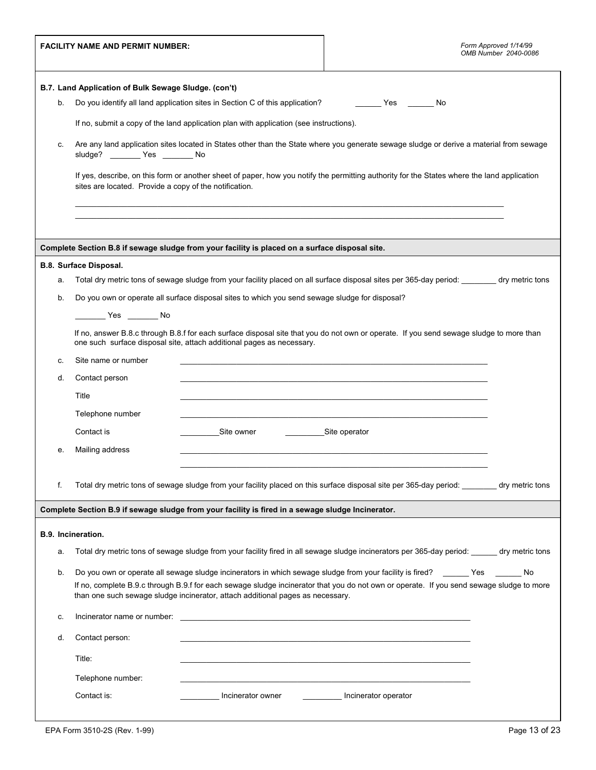|    | <b>FACILITY NAME AND PERMIT NUMBER:</b>                                                                        | Form Approved 1/14/99<br>OMB Number 2040-0086                                                                                                |
|----|----------------------------------------------------------------------------------------------------------------|----------------------------------------------------------------------------------------------------------------------------------------------|
|    | B.7. Land Application of Bulk Sewage Sludge. (con't)                                                           |                                                                                                                                              |
| b. | Do you identify all land application sites in Section C of this application? The Mongolian Mongolian Mongolian |                                                                                                                                              |
|    | If no, submit a copy of the land application plan with application (see instructions).                         |                                                                                                                                              |
| С. | sludge? ________ Yes _______ No                                                                                | Are any land application sites located in States other than the State where you generate sewage sludge or derive a material from sewage      |
|    | sites are located. Provide a copy of the notification.                                                         | If yes, describe, on this form or another sheet of paper, how you notify the permitting authority for the States where the land application  |
|    |                                                                                                                |                                                                                                                                              |
|    |                                                                                                                |                                                                                                                                              |
|    | Complete Section B.8 if sewage sludge from your facility is placed on a surface disposal site.                 |                                                                                                                                              |
|    | B.8. Surface Disposal.                                                                                         |                                                                                                                                              |
| a. |                                                                                                                | Total dry metric tons of sewage sludge from your facility placed on all surface disposal sites per 365-day period: _______ dry metric tons   |
| b. | Do you own or operate all surface disposal sites to which you send sewage sludge for disposal?                 |                                                                                                                                              |
|    | _________ Yes ________ No                                                                                      | If no, answer B.8.c through B.8.f for each surface disposal site that you do not own or operate. If you send sewage sludge to more than      |
|    | one such surface disposal site, attach additional pages as necessary.                                          |                                                                                                                                              |
| C. | Site name or number                                                                                            |                                                                                                                                              |
| d. | Contact person                                                                                                 |                                                                                                                                              |
|    | Title                                                                                                          |                                                                                                                                              |
|    | Telephone number                                                                                               |                                                                                                                                              |
|    | Contact is<br>Site owner                                                                                       | Site operator                                                                                                                                |
| e. | Mailing address                                                                                                |                                                                                                                                              |
| f. |                                                                                                                | Total dry metric tons of sewage sludge from your facility placed on this surface disposal site per 365-day period: _______ dry metric tons   |
|    | Complete Section B.9 if sewage sludge from your facility is fired in a sewage sludge Incinerator.              |                                                                                                                                              |
|    | B.9. Incineration.                                                                                             |                                                                                                                                              |
| a. |                                                                                                                | Total dry metric tons of sewage sludge from your facility fired in all sewage sludge incinerators per 365-day period: ______ dry metric tons |
| b. |                                                                                                                | Do you own or operate all sewage sludge incinerators in which sewage sludge from your facility is fired? ______ Yes ______ No                |
|    | than one such sewage sludge incinerator, attach additional pages as necessary.                                 | If no, complete B.9.c through B.9.f for each sewage sludge incinerator that you do not own or operate. If you send sewage sludge to more     |
| c. | Incinerator name or number:                                                                                    | <u> 1989 - Johann Barbara, martin amerikan basal dan berasal dalam basal dan berasal dan berasal dalam basal dala</u>                        |
| d. | Contact person:                                                                                                |                                                                                                                                              |
|    | Title:                                                                                                         |                                                                                                                                              |
|    |                                                                                                                |                                                                                                                                              |
|    | Telephone number:                                                                                              |                                                                                                                                              |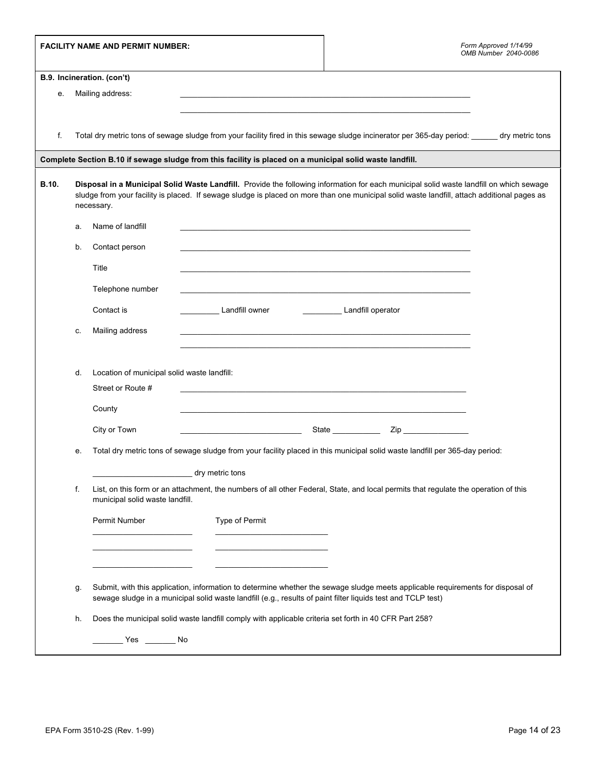|              |                            | <b>FACILITY NAME AND PERMIT NUMBER:</b>     |                                                                                                                                                                                                                                                                                        |                                                                                                                       | Form Approved 1/14/99<br>OMB Number 2040-0086 |  |  |
|--------------|----------------------------|---------------------------------------------|----------------------------------------------------------------------------------------------------------------------------------------------------------------------------------------------------------------------------------------------------------------------------------------|-----------------------------------------------------------------------------------------------------------------------|-----------------------------------------------|--|--|
|              | B.9. Incineration. (con't) |                                             |                                                                                                                                                                                                                                                                                        |                                                                                                                       |                                               |  |  |
| е.           |                            | Mailing address:                            |                                                                                                                                                                                                                                                                                        |                                                                                                                       |                                               |  |  |
|              |                            |                                             |                                                                                                                                                                                                                                                                                        | <u> 1989 - Johann John Stoff, deutscher Stoffen und der Stoffen und der Stoffen und der Stoffen und der Stoffen</u>   |                                               |  |  |
|              |                            |                                             |                                                                                                                                                                                                                                                                                        |                                                                                                                       |                                               |  |  |
| f.           |                            |                                             | Total dry metric tons of sewage sludge from your facility fired in this sewage sludge incinerator per 365-day period: _____ dry metric tons                                                                                                                                            |                                                                                                                       |                                               |  |  |
|              |                            |                                             | Complete Section B.10 if sewage sludge from this facility is placed on a municipal solid waste landfill.                                                                                                                                                                               |                                                                                                                       |                                               |  |  |
| <b>B.10.</b> |                            | necessary.                                  | Disposal in a Municipal Solid Waste Landfill. Provide the following information for each municipal solid waste landfill on which sewage<br>sludge from your facility is placed. If sewage sludge is placed on more than one municipal solid waste landfill, attach additional pages as |                                                                                                                       |                                               |  |  |
|              | а.                         | Name of landfill                            |                                                                                                                                                                                                                                                                                        |                                                                                                                       |                                               |  |  |
|              | b.                         | Contact person                              |                                                                                                                                                                                                                                                                                        |                                                                                                                       |                                               |  |  |
|              |                            | Title                                       |                                                                                                                                                                                                                                                                                        |                                                                                                                       |                                               |  |  |
|              |                            | Telephone number                            |                                                                                                                                                                                                                                                                                        | <u> 1989 - Johann Stoff, deutscher Stoff, der Stoff, der Stoff, der Stoff, der Stoff, der Stoff, der Stoff, der S</u> |                                               |  |  |
|              |                            | Contact is                                  | <b>Landfill owner</b>                                                                                                                                                                                                                                                                  | Landfill operator                                                                                                     |                                               |  |  |
|              | c.                         | Mailing address                             |                                                                                                                                                                                                                                                                                        |                                                                                                                       |                                               |  |  |
|              |                            |                                             |                                                                                                                                                                                                                                                                                        |                                                                                                                       |                                               |  |  |
|              | d.                         | Location of municipal solid waste landfill: |                                                                                                                                                                                                                                                                                        |                                                                                                                       |                                               |  |  |
|              |                            | Street or Route #                           |                                                                                                                                                                                                                                                                                        | and the control of the control of the control of the control of the control of the control of the control of the      |                                               |  |  |
|              |                            | County                                      |                                                                                                                                                                                                                                                                                        |                                                                                                                       |                                               |  |  |
|              |                            | City or Town                                | <u> 1990 - Johann Barbara, martin amerikan basa</u>                                                                                                                                                                                                                                    | State ____________<br>Zip                                                                                             |                                               |  |  |
|              | е.                         |                                             | Total dry metric tons of sewage sludge from your facility placed in this municipal solid waste landfill per 365-day period:                                                                                                                                                            |                                                                                                                       |                                               |  |  |
|              |                            |                                             | dry metric tons                                                                                                                                                                                                                                                                        |                                                                                                                       |                                               |  |  |
|              | f.                         | municipal solid waste landfill.             | List, on this form or an attachment, the numbers of all other Federal, State, and local permits that regulate the operation of this                                                                                                                                                    |                                                                                                                       |                                               |  |  |
|              |                            | Permit Number                               | Type of Permit                                                                                                                                                                                                                                                                         |                                                                                                                       |                                               |  |  |
|              |                            |                                             |                                                                                                                                                                                                                                                                                        |                                                                                                                       |                                               |  |  |
|              |                            |                                             |                                                                                                                                                                                                                                                                                        |                                                                                                                       |                                               |  |  |
|              | g.                         |                                             | Submit, with this application, information to determine whether the sewage sludge meets applicable requirements for disposal of<br>sewage sludge in a municipal solid waste landfill (e.g., results of paint filter liquids test and TCLP test)                                        |                                                                                                                       |                                               |  |  |
|              | h.                         |                                             | Does the municipal solid waste landfill comply with applicable criteria set forth in 40 CFR Part 258?                                                                                                                                                                                  |                                                                                                                       |                                               |  |  |
|              |                            | ________ Yes ________ No                    |                                                                                                                                                                                                                                                                                        |                                                                                                                       |                                               |  |  |
|              |                            |                                             |                                                                                                                                                                                                                                                                                        |                                                                                                                       |                                               |  |  |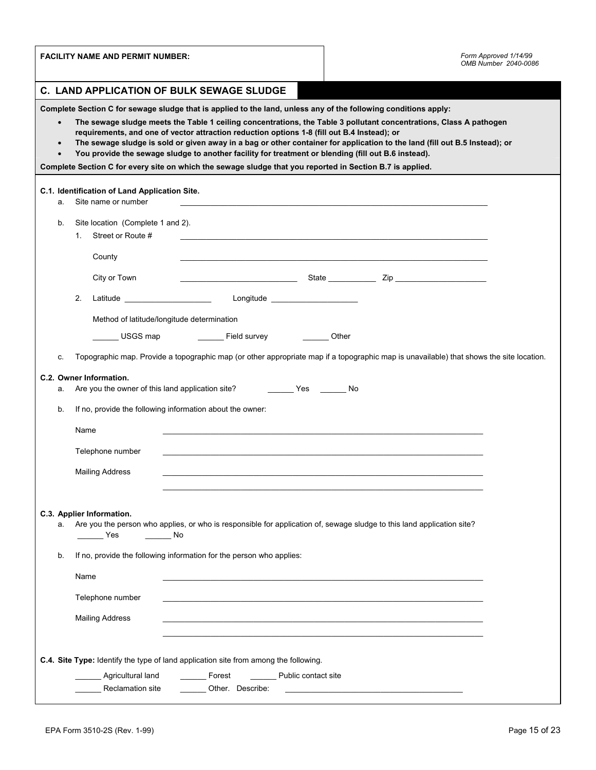| <b>FACILITY NAME AND PERMIT NUMBER:</b>                                                                                                                                                                                                                                                                                                                                                                                                                                                                                                                                                                    | Form Approved 1/14/99<br>OMB Number 2040-0086 |  |  |  |  |
|------------------------------------------------------------------------------------------------------------------------------------------------------------------------------------------------------------------------------------------------------------------------------------------------------------------------------------------------------------------------------------------------------------------------------------------------------------------------------------------------------------------------------------------------------------------------------------------------------------|-----------------------------------------------|--|--|--|--|
| C. LAND APPLICATION OF BULK SEWAGE SLUDGE                                                                                                                                                                                                                                                                                                                                                                                                                                                                                                                                                                  |                                               |  |  |  |  |
| Complete Section C for sewage sludge that is applied to the land, unless any of the following conditions apply:                                                                                                                                                                                                                                                                                                                                                                                                                                                                                            |                                               |  |  |  |  |
| The sewage sludge meets the Table 1 ceiling concentrations, the Table 3 pollutant concentrations, Class A pathogen<br>$\bullet$<br>requirements, and one of vector attraction reduction options 1-8 (fill out B.4 Instead); or<br>The sewage sludge is sold or given away in a bag or other container for application to the land (fill out B.5 Instead); or<br>$\bullet$<br>You provide the sewage sludge to another facility for treatment or blending (fill out B.6 instead).<br>$\bullet$<br>Complete Section C for every site on which the sewage sludge that you reported in Section B.7 is applied. |                                               |  |  |  |  |
| C.1. Identification of Land Application Site.<br>Site name or number<br>a.                                                                                                                                                                                                                                                                                                                                                                                                                                                                                                                                 |                                               |  |  |  |  |
| Site location (Complete 1 and 2).<br>b.<br>Street or Route #<br>1.                                                                                                                                                                                                                                                                                                                                                                                                                                                                                                                                         |                                               |  |  |  |  |
| County                                                                                                                                                                                                                                                                                                                                                                                                                                                                                                                                                                                                     |                                               |  |  |  |  |
| City or Town                                                                                                                                                                                                                                                                                                                                                                                                                                                                                                                                                                                               |                                               |  |  |  |  |
| 2.                                                                                                                                                                                                                                                                                                                                                                                                                                                                                                                                                                                                         |                                               |  |  |  |  |
| Method of latitude/longitude determination                                                                                                                                                                                                                                                                                                                                                                                                                                                                                                                                                                 |                                               |  |  |  |  |
| _________ Field survey __________ Other<br>USGS map                                                                                                                                                                                                                                                                                                                                                                                                                                                                                                                                                        |                                               |  |  |  |  |
| Topographic map. Provide a topographic map (or other appropriate map if a topographic map is unavailable) that shows the site location.<br>C.                                                                                                                                                                                                                                                                                                                                                                                                                                                              |                                               |  |  |  |  |
| C.2. Owner Information.<br>а.                                                                                                                                                                                                                                                                                                                                                                                                                                                                                                                                                                              |                                               |  |  |  |  |
| If no, provide the following information about the owner:<br>b.                                                                                                                                                                                                                                                                                                                                                                                                                                                                                                                                            |                                               |  |  |  |  |
| Name                                                                                                                                                                                                                                                                                                                                                                                                                                                                                                                                                                                                       |                                               |  |  |  |  |
| Telephone number                                                                                                                                                                                                                                                                                                                                                                                                                                                                                                                                                                                           |                                               |  |  |  |  |
| <b>Mailing Address</b>                                                                                                                                                                                                                                                                                                                                                                                                                                                                                                                                                                                     |                                               |  |  |  |  |
|                                                                                                                                                                                                                                                                                                                                                                                                                                                                                                                                                                                                            |                                               |  |  |  |  |
| C.3. Applier Information.<br>Are you the person who applies, or who is responsible for application of, sewage sludge to this land application site?<br>а.<br>Yes<br>No                                                                                                                                                                                                                                                                                                                                                                                                                                     |                                               |  |  |  |  |
| If no, provide the following information for the person who applies:<br>b.                                                                                                                                                                                                                                                                                                                                                                                                                                                                                                                                 |                                               |  |  |  |  |
| Name                                                                                                                                                                                                                                                                                                                                                                                                                                                                                                                                                                                                       |                                               |  |  |  |  |
| Telephone number                                                                                                                                                                                                                                                                                                                                                                                                                                                                                                                                                                                           |                                               |  |  |  |  |
| <b>Mailing Address</b>                                                                                                                                                                                                                                                                                                                                                                                                                                                                                                                                                                                     |                                               |  |  |  |  |
|                                                                                                                                                                                                                                                                                                                                                                                                                                                                                                                                                                                                            |                                               |  |  |  |  |
| C.4. Site Type: Identify the type of land application site from among the following.                                                                                                                                                                                                                                                                                                                                                                                                                                                                                                                       |                                               |  |  |  |  |
| Agricultural land<br>Forest<br>Public contact site                                                                                                                                                                                                                                                                                                                                                                                                                                                                                                                                                         |                                               |  |  |  |  |
| Reclamation site<br>Other. Describe:                                                                                                                                                                                                                                                                                                                                                                                                                                                                                                                                                                       |                                               |  |  |  |  |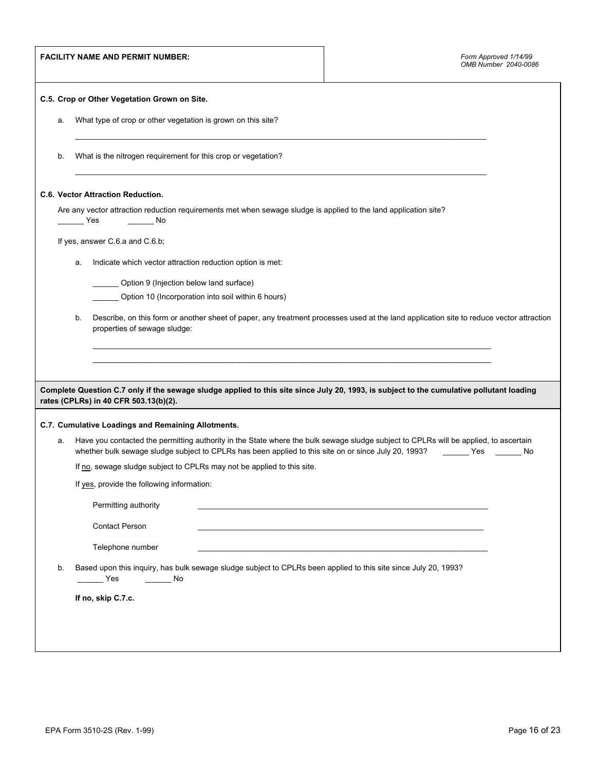|                                                                                                                                                                               |                | <b>FACILITY NAME AND PERMIT NUMBER:</b>                       |                                                                                                                  |                                                                                                                                                           | Form Approved 1/14/99<br>OMB Number 2040-0086 |
|-------------------------------------------------------------------------------------------------------------------------------------------------------------------------------|----------------|---------------------------------------------------------------|------------------------------------------------------------------------------------------------------------------|-----------------------------------------------------------------------------------------------------------------------------------------------------------|-----------------------------------------------|
|                                                                                                                                                                               |                | C.5. Crop or Other Vegetation Grown on Site.                  |                                                                                                                  |                                                                                                                                                           |                                               |
| а.                                                                                                                                                                            |                | What type of crop or other vegetation is grown on this site?  |                                                                                                                  |                                                                                                                                                           |                                               |
| b.                                                                                                                                                                            |                | What is the nitrogen requirement for this crop or vegetation? |                                                                                                                  |                                                                                                                                                           |                                               |
|                                                                                                                                                                               |                | C.6. Vector Attraction Reduction.                             |                                                                                                                  |                                                                                                                                                           |                                               |
|                                                                                                                                                                               | <b>Paradox</b> |                                                               | Are any vector attraction reduction requirements met when sewage sludge is applied to the land application site? |                                                                                                                                                           |                                               |
|                                                                                                                                                                               |                | If yes, answer C.6.a and C.6.b;                               |                                                                                                                  |                                                                                                                                                           |                                               |
|                                                                                                                                                                               | а.             | Indicate which vector attraction reduction option is met:     |                                                                                                                  |                                                                                                                                                           |                                               |
|                                                                                                                                                                               |                | Option 9 (Injection below land surface)                       |                                                                                                                  |                                                                                                                                                           |                                               |
|                                                                                                                                                                               |                |                                                               | Option 10 (Incorporation into soil within 6 hours)                                                               |                                                                                                                                                           |                                               |
| Describe, on this form or another sheet of paper, any treatment processes used at the land application site to reduce vector attraction<br>b.<br>properties of sewage sludge: |                |                                                               |                                                                                                                  |                                                                                                                                                           |                                               |
|                                                                                                                                                                               |                |                                                               |                                                                                                                  |                                                                                                                                                           |                                               |
|                                                                                                                                                                               |                |                                                               |                                                                                                                  | Complete Question C.7 only if the sewage sludge applied to this site since July 20, 1993, is subject to the cumulative pollutant loading                  |                                               |
|                                                                                                                                                                               |                | rates (CPLRs) in 40 CFR 503.13(b)(2).                         |                                                                                                                  |                                                                                                                                                           |                                               |
|                                                                                                                                                                               |                | C.7. Cumulative Loadings and Remaining Allotments.            |                                                                                                                  |                                                                                                                                                           |                                               |
| а.                                                                                                                                                                            |                |                                                               | whether bulk sewage sludge subject to CPLRs has been applied to this site on or since July 20, 1993?             | Have you contacted the permitting authority in the State where the bulk sewage sludge subject to CPLRs will be applied, to ascertain<br><b>Example ST</b> | No                                            |
|                                                                                                                                                                               |                |                                                               | If no, sewage sludge subject to CPLRs may not be applied to this site.                                           |                                                                                                                                                           |                                               |
|                                                                                                                                                                               |                | If yes, provide the following information:                    |                                                                                                                  |                                                                                                                                                           |                                               |
|                                                                                                                                                                               |                | Permitting authority                                          |                                                                                                                  |                                                                                                                                                           |                                               |
| <b>Contact Person</b>                                                                                                                                                         |                |                                                               |                                                                                                                  |                                                                                                                                                           |                                               |
| Telephone number                                                                                                                                                              |                |                                                               |                                                                                                                  |                                                                                                                                                           |                                               |
| Based upon this inquiry, has bulk sewage sludge subject to CPLRs been applied to this site since July 20, 1993?<br>b.<br>Yes<br>$\overline{\phantom{a}}$ No                   |                |                                                               |                                                                                                                  |                                                                                                                                                           |                                               |
| If no, skip C.7.c.                                                                                                                                                            |                |                                                               |                                                                                                                  |                                                                                                                                                           |                                               |
|                                                                                                                                                                               |                |                                                               |                                                                                                                  |                                                                                                                                                           |                                               |
|                                                                                                                                                                               |                |                                                               |                                                                                                                  |                                                                                                                                                           |                                               |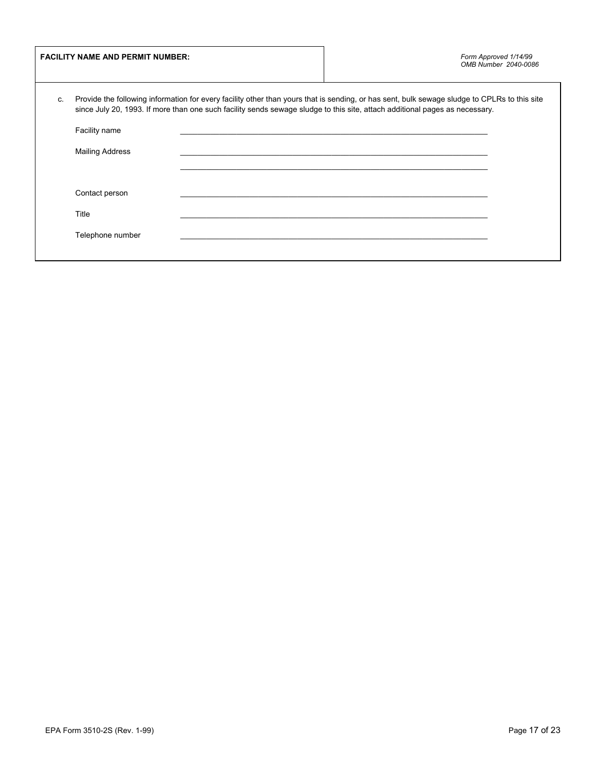|    | <b>FACILITY NAME AND PERMIT NUMBER:</b> |                                                                                                                                                                                                                                                                             | Form Approved 1/14/99<br>OMB Number 2040-0086 |
|----|-----------------------------------------|-----------------------------------------------------------------------------------------------------------------------------------------------------------------------------------------------------------------------------------------------------------------------------|-----------------------------------------------|
| C. |                                         | Provide the following information for every facility other than yours that is sending, or has sent, bulk sewage sludge to CPLRs to this site<br>since July 20, 1993. If more than one such facility sends sewage sludge to this site, attach additional pages as necessary. |                                               |
|    | Facility name                           |                                                                                                                                                                                                                                                                             |                                               |
|    | <b>Mailing Address</b>                  |                                                                                                                                                                                                                                                                             |                                               |
|    |                                         |                                                                                                                                                                                                                                                                             |                                               |
|    | Contact person                          |                                                                                                                                                                                                                                                                             |                                               |
|    | Title                                   |                                                                                                                                                                                                                                                                             |                                               |
|    |                                         |                                                                                                                                                                                                                                                                             |                                               |
|    | Telephone number                        |                                                                                                                                                                                                                                                                             |                                               |
|    |                                         |                                                                                                                                                                                                                                                                             |                                               |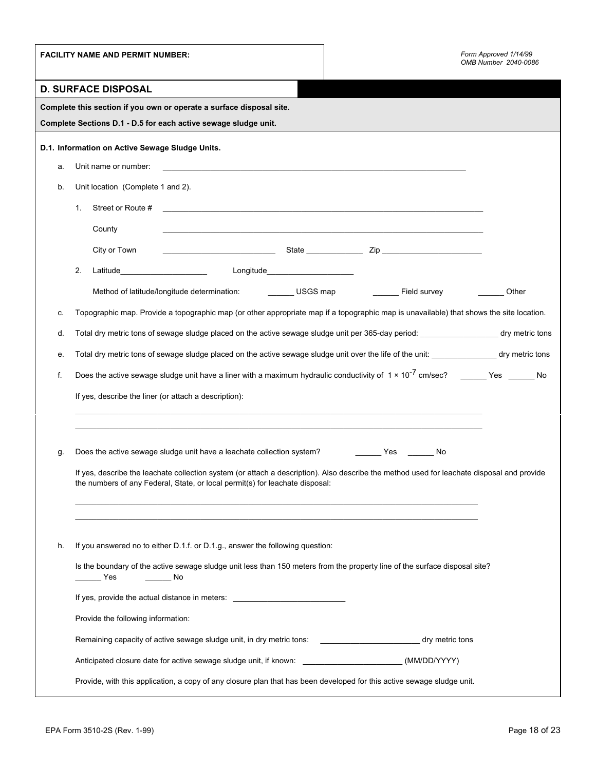|    | <b>FACILITY NAME AND PERMIT NUMBER:</b>                                                                                                                                                                                    | Form Approved 1/14/99<br>OMB Number 2040-0086 |  |  |
|----|----------------------------------------------------------------------------------------------------------------------------------------------------------------------------------------------------------------------------|-----------------------------------------------|--|--|
|    | <b>D. SURFACE DISPOSAL</b>                                                                                                                                                                                                 |                                               |  |  |
|    | Complete this section if you own or operate a surface disposal site.                                                                                                                                                       |                                               |  |  |
|    | Complete Sections D.1 - D.5 for each active sewage sludge unit.                                                                                                                                                            |                                               |  |  |
|    | D.1. Information on Active Sewage Sludge Units.                                                                                                                                                                            |                                               |  |  |
| a. |                                                                                                                                                                                                                            |                                               |  |  |
| b. | Unit location (Complete 1 and 2).                                                                                                                                                                                          |                                               |  |  |
|    | Street or Route #<br>1.<br><u> 1989 - Johann Stoff, deutscher Stoff, der Stoff, der Stoff, der Stoff, der Stoff, der Stoff, der Stoff, der S</u>                                                                           |                                               |  |  |
|    | County<br><u> 1989 - Johann Stoff, amerikansk politiker (d. 1989)</u>                                                                                                                                                      |                                               |  |  |
|    | City or Town                                                                                                                                                                                                               |                                               |  |  |
|    | 2.                                                                                                                                                                                                                         |                                               |  |  |
|    | Method of latitude/longitude determination: USGS map Field survey                                                                                                                                                          | Other                                         |  |  |
| c. | Topographic map. Provide a topographic map (or other appropriate map if a topographic map is unavailable) that shows the site location.                                                                                    |                                               |  |  |
| d. | Total dry metric tons of sewage sludge placed on the active sewage sludge unit per 365-day period: ____________________ dry metric tons                                                                                    |                                               |  |  |
| е. | Total dry metric tons of sewage sludge placed on the active sewage sludge unit over the life of the unit: ______________________ dry metric tons                                                                           |                                               |  |  |
| f. | Does the active sewage sludge unit have a liner with a maximum hydraulic conductivity of $1 \times 10^{-7}$ cm/sec? ______ Yes ______ No                                                                                   |                                               |  |  |
|    | If yes, describe the liner (or attach a description):                                                                                                                                                                      |                                               |  |  |
|    |                                                                                                                                                                                                                            |                                               |  |  |
|    |                                                                                                                                                                                                                            |                                               |  |  |
| g. | Does the active sewage sludge unit have a leachate collection system? ___________ Yes _______<br>No                                                                                                                        |                                               |  |  |
|    | If yes, describe the leachate collection system (or attach a description). Also describe the method used for leachate disposal and provide<br>the numbers of any Federal, State, or local permit(s) for leachate disposal: |                                               |  |  |
|    |                                                                                                                                                                                                                            |                                               |  |  |
|    |                                                                                                                                                                                                                            |                                               |  |  |
|    |                                                                                                                                                                                                                            |                                               |  |  |
| h. | If you answered no to either D.1.f. or D.1.g., answer the following question:                                                                                                                                              |                                               |  |  |
|    | Is the boundary of the active sewage sludge unit less than 150 meters from the property line of the surface disposal site?<br><b>Parage Street</b><br><b>Single Street No.</b>                                             |                                               |  |  |
|    | If yes, provide the actual distance in meters: _________________________________                                                                                                                                           |                                               |  |  |
|    | Provide the following information:                                                                                                                                                                                         |                                               |  |  |
|    | Remaining capacity of active sewage sludge unit, in dry metric tons:<br>dry metric tons                                                                                                                                    |                                               |  |  |
|    | Anticipated closure date for active sewage sludge unit, if known: _________________________________(MM/DD/YYYY)                                                                                                            |                                               |  |  |
|    | Provide, with this application, a copy of any closure plan that has been developed for this active sewage sludge unit.                                                                                                     |                                               |  |  |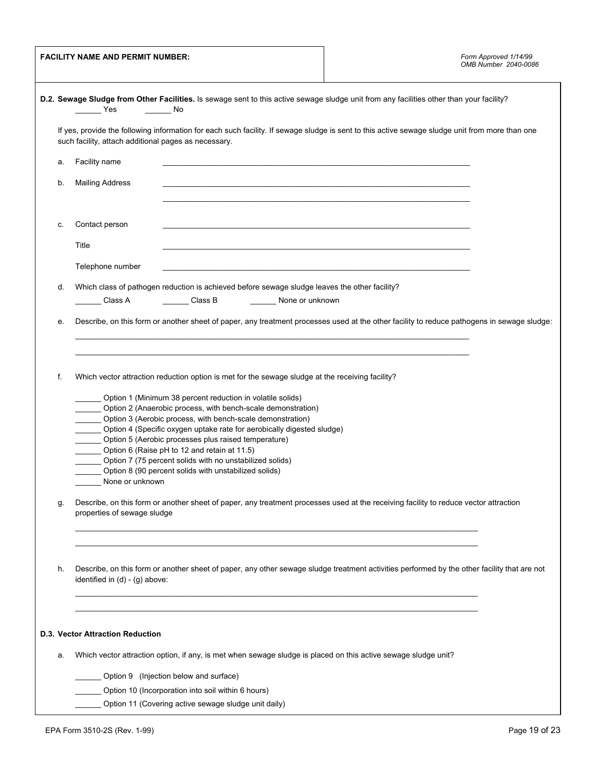| <b>FACILITY NAME AND PERMIT NUMBER:</b>              |                                                                                                                            |                                                                                                                | Form Approved 1/14/99<br>OMB Number 2040-0086                                                                                                   |  |  |  |
|------------------------------------------------------|----------------------------------------------------------------------------------------------------------------------------|----------------------------------------------------------------------------------------------------------------|-------------------------------------------------------------------------------------------------------------------------------------------------|--|--|--|
|                                                      | <b>Paradox</b> Yes                                                                                                         | No                                                                                                             | D.2. Sewage Sludge from Other Facilities. Is sewage sent to this active sewage sludge unit from any facilities other than your facility?        |  |  |  |
|                                                      | such facility, attach additional pages as necessary.                                                                       |                                                                                                                | If yes, provide the following information for each such facility. If sewage sludge is sent to this active sewage sludge unit from more than one |  |  |  |
| а.                                                   | Facility name                                                                                                              |                                                                                                                |                                                                                                                                                 |  |  |  |
| b.                                                   | <b>Mailing Address</b>                                                                                                     |                                                                                                                |                                                                                                                                                 |  |  |  |
| c.                                                   | Contact person                                                                                                             |                                                                                                                |                                                                                                                                                 |  |  |  |
|                                                      | Title                                                                                                                      |                                                                                                                |                                                                                                                                                 |  |  |  |
|                                                      | Telephone number                                                                                                           |                                                                                                                |                                                                                                                                                 |  |  |  |
| d.                                                   |                                                                                                                            | Which class of pathogen reduction is achieved before sewage sludge leaves the other facility?                  |                                                                                                                                                 |  |  |  |
|                                                      | Class A                                                                                                                    | Class B<br>None or unknown                                                                                     |                                                                                                                                                 |  |  |  |
| е.                                                   |                                                                                                                            |                                                                                                                | Describe, on this form or another sheet of paper, any treatment processes used at the other facility to reduce pathogens in sewage sludge:      |  |  |  |
|                                                      |                                                                                                                            |                                                                                                                |                                                                                                                                                 |  |  |  |
|                                                      |                                                                                                                            |                                                                                                                |                                                                                                                                                 |  |  |  |
| f.                                                   |                                                                                                                            | Which vector attraction reduction option is met for the sewage sludge at the receiving facility?               |                                                                                                                                                 |  |  |  |
|                                                      |                                                                                                                            | Option 1 (Minimum 38 percent reduction in volatile solids)                                                     |                                                                                                                                                 |  |  |  |
|                                                      | Option 2 (Anaerobic process, with bench-scale demonstration)<br>Option 3 (Aerobic process, with bench-scale demonstration) |                                                                                                                |                                                                                                                                                 |  |  |  |
|                                                      |                                                                                                                            | Option 4 (Specific oxygen uptake rate for aerobically digested sludge)                                         |                                                                                                                                                 |  |  |  |
|                                                      | Option 5 (Aerobic processes plus raised temperature)                                                                       |                                                                                                                |                                                                                                                                                 |  |  |  |
|                                                      |                                                                                                                            | Option 6 (Raise pH to 12 and retain at 11.5)<br>Option 7 (75 percent solids with no unstabilized solids)       |                                                                                                                                                 |  |  |  |
|                                                      |                                                                                                                            | Option 8 (90 percent solids with unstabilized solids)                                                          |                                                                                                                                                 |  |  |  |
|                                                      | None or unknown None of None or United                                                                                     |                                                                                                                |                                                                                                                                                 |  |  |  |
| g.                                                   | properties of sewage sludge                                                                                                |                                                                                                                | Describe, on this form or another sheet of paper, any treatment processes used at the receiving facility to reduce vector attraction            |  |  |  |
|                                                      |                                                                                                                            |                                                                                                                |                                                                                                                                                 |  |  |  |
| h.                                                   | identified in $(d) - (g)$ above:                                                                                           |                                                                                                                | Describe, on this form or another sheet of paper, any other sewage sludge treatment activities performed by the other facility that are not     |  |  |  |
|                                                      |                                                                                                                            |                                                                                                                |                                                                                                                                                 |  |  |  |
|                                                      |                                                                                                                            |                                                                                                                |                                                                                                                                                 |  |  |  |
|                                                      | D.3. Vector Attraction Reduction                                                                                           |                                                                                                                |                                                                                                                                                 |  |  |  |
| а.                                                   |                                                                                                                            | Which vector attraction option, if any, is met when sewage sludge is placed on this active sewage sludge unit? |                                                                                                                                                 |  |  |  |
|                                                      |                                                                                                                            | _____ Option 9 (Injection below and surface)                                                                   |                                                                                                                                                 |  |  |  |
|                                                      |                                                                                                                            | Option 10 (Incorporation into soil within 6 hours)                                                             |                                                                                                                                                 |  |  |  |
| Option 11 (Covering active sewage sludge unit daily) |                                                                                                                            |                                                                                                                |                                                                                                                                                 |  |  |  |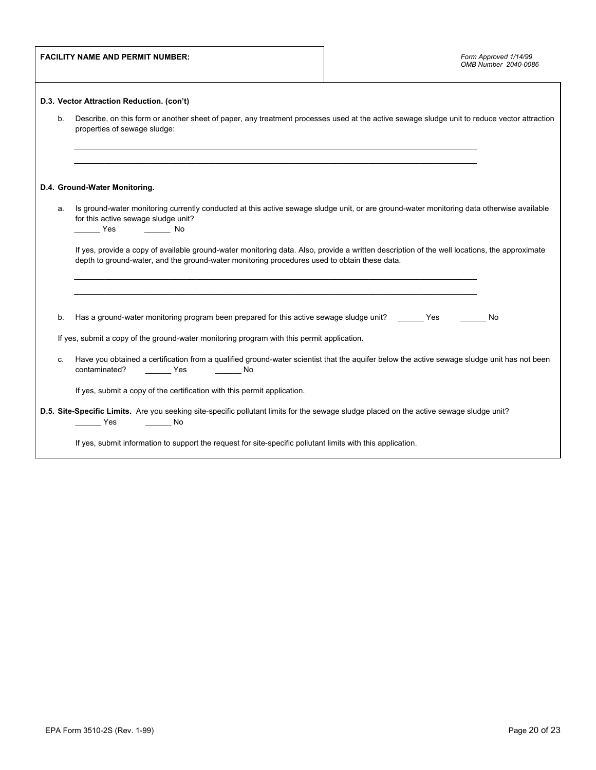|         | <b>FACILITY NAME AND PERMIT NUMBER:</b>                                                                                                                                                                                                      | Form Approved 1/14/99<br>OMB Number 2040-0086 |  |  |
|---------|----------------------------------------------------------------------------------------------------------------------------------------------------------------------------------------------------------------------------------------------|-----------------------------------------------|--|--|
|         | D.3. Vector Attraction Reduction. (con't)                                                                                                                                                                                                    |                                               |  |  |
| $b_{1}$ | Describe, on this form or another sheet of paper, any treatment processes used at the active sewage sludge unit to reduce vector attraction<br>properties of sewage sludge:                                                                  |                                               |  |  |
|         | D.4. Ground-Water Monitoring.                                                                                                                                                                                                                |                                               |  |  |
| а.      | Is ground-water monitoring currently conducted at this active sewage sludge unit, or are ground-water monitoring data otherwise available<br>for this active sewage sludge unit?<br>__________ Yes ___________ No                            |                                               |  |  |
|         | If yes, provide a copy of available ground-water monitoring data. Also, provide a written description of the well locations, the approximate<br>depth to ground-water, and the ground-water monitoring procedures used to obtain these data. |                                               |  |  |
| b.      | Has a ground-water monitoring program been prepared for this active sewage sludge unit? Yes                                                                                                                                                  | No                                            |  |  |
|         | If yes, submit a copy of the ground-water monitoring program with this permit application.                                                                                                                                                   |                                               |  |  |
| C.      | Have you obtained a certification from a qualified ground-water scientist that the aquifer below the active sewage sludge unit has not been<br>contaminated?<br>________ Yes _________ No                                                    |                                               |  |  |
|         | If yes, submit a copy of the certification with this permit application.                                                                                                                                                                     |                                               |  |  |
|         | D.5. Site-Specific Limits. Are you seeking site-specific pollutant limits for the sewage sludge placed on the active sewage sludge unit?<br>Yes<br>in a strong No                                                                            |                                               |  |  |
|         | If yes, submit information to support the request for site-specific pollutant limits with this application.                                                                                                                                  |                                               |  |  |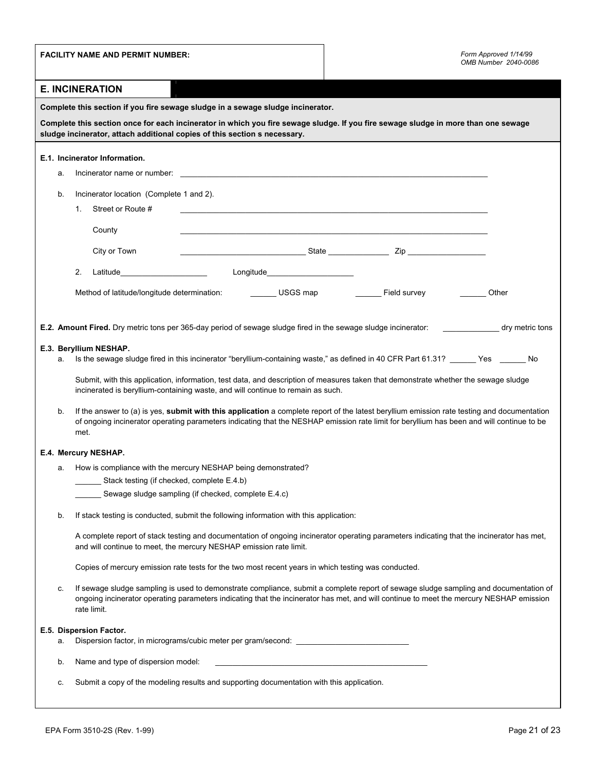|                        | <b>FACILITY NAME AND PERMIT NUMBER:</b>                                                                                                                                                                                                                                                          | Form Approved 1/14/99<br>OMB Number 2040-0086                                                                        |  |  |  |
|------------------------|--------------------------------------------------------------------------------------------------------------------------------------------------------------------------------------------------------------------------------------------------------------------------------------------------|----------------------------------------------------------------------------------------------------------------------|--|--|--|
| <b>E. INCINERATION</b> |                                                                                                                                                                                                                                                                                                  |                                                                                                                      |  |  |  |
|                        | Complete this section if you fire sewage sludge in a sewage sludge incinerator.                                                                                                                                                                                                                  |                                                                                                                      |  |  |  |
|                        | Complete this section once for each incinerator in which you fire sewage sludge. If you fire sewage sludge in more than one sewage<br>sludge incinerator, attach additional copies of this section s necessary.                                                                                  |                                                                                                                      |  |  |  |
|                        | E.1. Incinerator Information.                                                                                                                                                                                                                                                                    |                                                                                                                      |  |  |  |
| а.                     | Incinerator name or number: example and a series of the series of the series of the series of the series of the series of the series of the series of the series of the series of the series of the series of the series of th                                                                   |                                                                                                                      |  |  |  |
| b.                     | Incinerator location (Complete 1 and 2).                                                                                                                                                                                                                                                         |                                                                                                                      |  |  |  |
|                        | Street or Route #<br>1.                                                                                                                                                                                                                                                                          | <u> 1989 - Jan James James James James James James James James James James James James James James James James J</u> |  |  |  |
|                        | County                                                                                                                                                                                                                                                                                           |                                                                                                                      |  |  |  |
|                        | City or Town                                                                                                                                                                                                                                                                                     |                                                                                                                      |  |  |  |
|                        | Longitude______________________<br>Latitude <b>Example 2018</b><br>2.                                                                                                                                                                                                                            |                                                                                                                      |  |  |  |
|                        |                                                                                                                                                                                                                                                                                                  | Other                                                                                                                |  |  |  |
|                        |                                                                                                                                                                                                                                                                                                  |                                                                                                                      |  |  |  |
|                        | E.2. Amount Fired. Dry metric tons per 365-day period of sewage sludge fired in the sewage sludge incinerator:                                                                                                                                                                                   | dry metric tons                                                                                                      |  |  |  |
|                        | E.3. Beryllium NESHAP.                                                                                                                                                                                                                                                                           |                                                                                                                      |  |  |  |
| а.                     | Is the sewage sludge fired in this incinerator "beryllium-containing waste," as defined in 40 CFR Part 61.31? ______ Yes ______ No                                                                                                                                                               |                                                                                                                      |  |  |  |
|                        | Submit, with this application, information, test data, and description of measures taken that demonstrate whether the sewage sludge<br>incinerated is beryllium-containing waste, and will continue to remain as such.                                                                           |                                                                                                                      |  |  |  |
| b.                     | If the answer to (a) is yes, submit with this application a complete report of the latest beryllium emission rate testing and documentation<br>of ongoing incinerator operating parameters indicating that the NESHAP emission rate limit for beryllium has been and will continue to be<br>met. |                                                                                                                      |  |  |  |
|                        | E.4. Mercury NESHAP.                                                                                                                                                                                                                                                                             |                                                                                                                      |  |  |  |
| а.                     | How is compliance with the mercury NESHAP being demonstrated?                                                                                                                                                                                                                                    |                                                                                                                      |  |  |  |
|                        | Stack testing (if checked, complete E.4.b)<br>Sewage sludge sampling (if checked, complete E.4.c)                                                                                                                                                                                                |                                                                                                                      |  |  |  |
|                        |                                                                                                                                                                                                                                                                                                  |                                                                                                                      |  |  |  |
| b.                     | If stack testing is conducted, submit the following information with this application:                                                                                                                                                                                                           |                                                                                                                      |  |  |  |
|                        | A complete report of stack testing and documentation of ongoing incinerator operating parameters indicating that the incinerator has met,<br>and will continue to meet, the mercury NESHAP emission rate limit.                                                                                  |                                                                                                                      |  |  |  |
|                        | Copies of mercury emission rate tests for the two most recent years in which testing was conducted.                                                                                                                                                                                              |                                                                                                                      |  |  |  |
| c.                     | If sewage sludge sampling is used to demonstrate compliance, submit a complete report of sewage sludge sampling and documentation of<br>ongoing incinerator operating parameters indicating that the incinerator has met, and will continue to meet the mercury NESHAP emission<br>rate limit.   |                                                                                                                      |  |  |  |
|                        | E.5. Dispersion Factor.                                                                                                                                                                                                                                                                          |                                                                                                                      |  |  |  |
| а.                     | Dispersion factor, in micrograms/cubic meter per gram/second: __________________                                                                                                                                                                                                                 |                                                                                                                      |  |  |  |
| b.                     | Name and type of dispersion model:                                                                                                                                                                                                                                                               |                                                                                                                      |  |  |  |
| c.                     | Submit a copy of the modeling results and supporting documentation with this application.                                                                                                                                                                                                        |                                                                                                                      |  |  |  |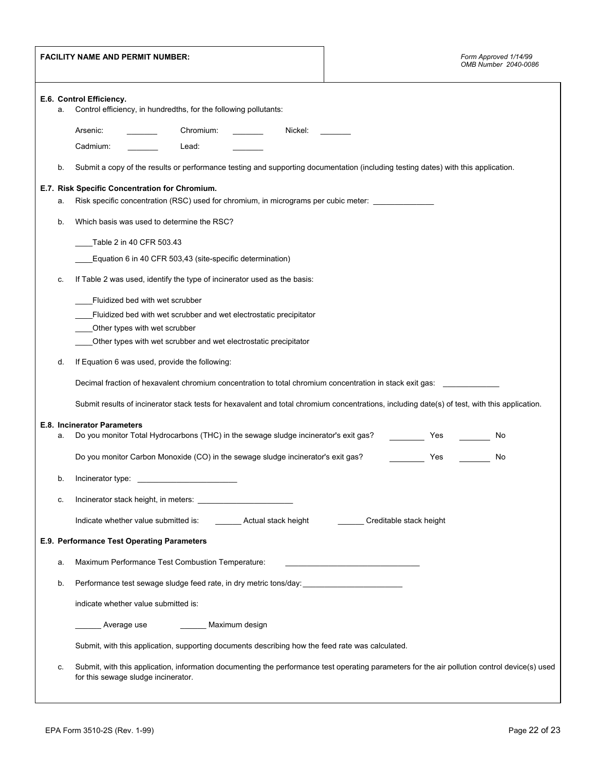| <b>FACILITY NAME AND PERMIT NUMBER:</b> |                                                                                                    |                                                                                                                                                                                      | Form Approved 1/14/99<br>OMB Number 2040-0086 |  |  |  |
|-----------------------------------------|----------------------------------------------------------------------------------------------------|--------------------------------------------------------------------------------------------------------------------------------------------------------------------------------------|-----------------------------------------------|--|--|--|
|                                         | E.6. Control Efficiency.<br>Control efficiency, in hundredths, for the following pollutants:<br>a. |                                                                                                                                                                                      |                                               |  |  |  |
|                                         |                                                                                                    | Chromium:<br>Arsenic:<br>Nickel:                                                                                                                                                     |                                               |  |  |  |
|                                         |                                                                                                    | Cadmium:<br>Lead:                                                                                                                                                                    |                                               |  |  |  |
|                                         | b.                                                                                                 | Submit a copy of the results or performance testing and supporting documentation (including testing dates) with this application.                                                    |                                               |  |  |  |
|                                         | а.                                                                                                 | E.7. Risk Specific Concentration for Chromium.<br>Risk specific concentration (RSC) used for chromium, in micrograms per cubic meter: _______________                                |                                               |  |  |  |
|                                         | b.                                                                                                 | Which basis was used to determine the RSC?                                                                                                                                           |                                               |  |  |  |
|                                         |                                                                                                    | Table 2 in 40 CFR 503.43                                                                                                                                                             |                                               |  |  |  |
|                                         |                                                                                                    | Equation 6 in 40 CFR 503,43 (site-specific determination)                                                                                                                            |                                               |  |  |  |
|                                         | c.                                                                                                 | If Table 2 was used, identify the type of incinerator used as the basis:                                                                                                             |                                               |  |  |  |
|                                         |                                                                                                    | Fluidized bed with wet scrubber                                                                                                                                                      |                                               |  |  |  |
|                                         |                                                                                                    | Fluidized bed with wet scrubber and wet electrostatic precipitator                                                                                                                   |                                               |  |  |  |
|                                         |                                                                                                    | Other types with wet scrubber                                                                                                                                                        |                                               |  |  |  |
|                                         |                                                                                                    | Other types with wet scrubber and wet electrostatic precipitator                                                                                                                     |                                               |  |  |  |
|                                         | d.                                                                                                 | If Equation 6 was used, provide the following:                                                                                                                                       |                                               |  |  |  |
|                                         |                                                                                                    | Decimal fraction of hexavalent chromium concentration to total chromium concentration in stack exit gas:                                                                             |                                               |  |  |  |
|                                         |                                                                                                    | Submit results of incinerator stack tests for hexavalent and total chromium concentrations, including date(s) of test, with this application.                                        |                                               |  |  |  |
|                                         | a.                                                                                                 | E.8. Incinerator Parameters<br>Do you monitor Total Hydrocarbons (THC) in the sewage sludge incinerator's exit gas?                                                                  | Yes<br>No                                     |  |  |  |
|                                         |                                                                                                    | Do you monitor Carbon Monoxide (CO) in the sewage sludge incinerator's exit gas?                                                                                                     | Yes<br>No                                     |  |  |  |
|                                         | b.                                                                                                 | Incinerator type:                                                                                                                                                                    |                                               |  |  |  |
|                                         | c.                                                                                                 |                                                                                                                                                                                      |                                               |  |  |  |
|                                         |                                                                                                    | Indicate whether value submitted is:<br>_________ Actual stack height                                                                                                                | Creditable stack height                       |  |  |  |
|                                         |                                                                                                    | E.9. Performance Test Operating Parameters                                                                                                                                           |                                               |  |  |  |
|                                         | а.                                                                                                 | Maximum Performance Test Combustion Temperature:                                                                                                                                     |                                               |  |  |  |
|                                         | b.                                                                                                 | Performance test sewage sludge feed rate, in dry metric tons/day:                                                                                                                    |                                               |  |  |  |
|                                         |                                                                                                    | indicate whether value submitted is:                                                                                                                                                 |                                               |  |  |  |
|                                         |                                                                                                    | Average use<br>Maximum design                                                                                                                                                        |                                               |  |  |  |
|                                         |                                                                                                    | Submit, with this application, supporting documents describing how the feed rate was calculated.                                                                                     |                                               |  |  |  |
|                                         | c.                                                                                                 | Submit, with this application, information documenting the performance test operating parameters for the air pollution control device(s) used<br>for this sewage sludge incinerator. |                                               |  |  |  |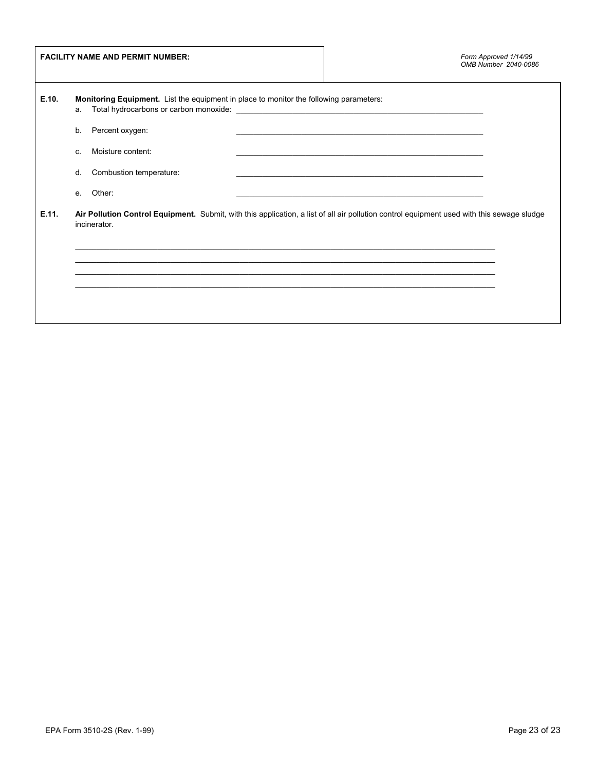| <b>FACILITY NAME AND PERMIT NUMBER:</b> |                                                                                                                                                                                                                                                                                                                                      | Form Approved 1/14/99<br>OMB Number 2040-0086                                                                          |  |
|-----------------------------------------|--------------------------------------------------------------------------------------------------------------------------------------------------------------------------------------------------------------------------------------------------------------------------------------------------------------------------------------|------------------------------------------------------------------------------------------------------------------------|--|
| E.10.                                   | <b>Monitoring Equipment.</b> List the equipment in place to monitor the following parameters:<br>Total hydrocarbons or carbon monoxide: example and a state of the state of the state of the state of the state of the state of the state of the state of the state of the state of the state of the state of the state of the<br>a. |                                                                                                                        |  |
|                                         | Percent oxygen:<br>b.                                                                                                                                                                                                                                                                                                                | <u> 1999 - Paris Paragonia et al provincia establecente de la provincia establecente de la provincia establecente </u> |  |
|                                         | Moisture content:<br>C.                                                                                                                                                                                                                                                                                                              | <u> 1989 - Johann John Stone, markin sanat masjid a shekara ta 1989 - An tsarat masjid a shekara ta 1989 - An tsa</u>  |  |
|                                         | Combustion temperature:<br>d.                                                                                                                                                                                                                                                                                                        |                                                                                                                        |  |
|                                         | Other:<br>е.                                                                                                                                                                                                                                                                                                                         | <u> 1989 - Johann Harry Harry Harry Harry Harry Harry Harry Harry Harry Harry Harry Harry Harry Harry Harry Harry</u>  |  |
| E.11.                                   | Air Pollution Control Equipment. Submit, with this application, a list of all air pollution control equipment used with this sewage sludge<br>incinerator.                                                                                                                                                                           |                                                                                                                        |  |
|                                         |                                                                                                                                                                                                                                                                                                                                      |                                                                                                                        |  |